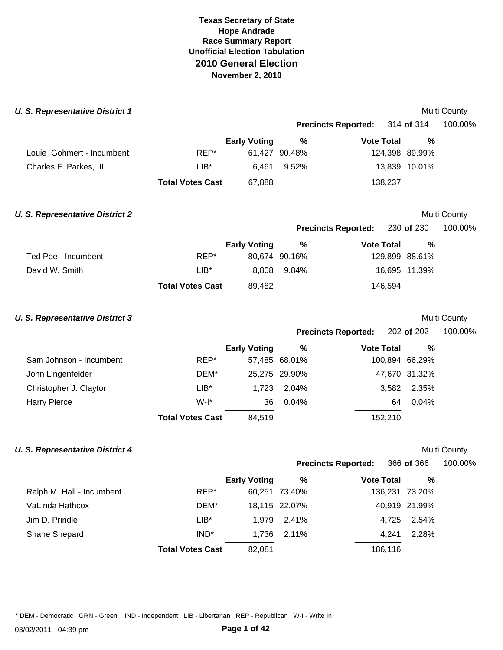| <b>U. S. Representative District 1</b> |                         |                     |               |                            |                | Multi County |
|----------------------------------------|-------------------------|---------------------|---------------|----------------------------|----------------|--------------|
|                                        |                         |                     |               | <b>Precincts Reported:</b> | 314 of 314     | 100.00%      |
|                                        |                         | <b>Early Voting</b> | $\%$          | <b>Vote Total</b>          | %              |              |
| Louie Gohmert - Incumbent              | REP*                    |                     | 61,427 90.48% |                            | 124,398 89.99% |              |
| Charles F. Parkes, III                 | $LIB*$                  | 6,461               | 9.52%         |                            | 13,839 10.01%  |              |
|                                        | <b>Total Votes Cast</b> | 67,888              |               | 138,237                    |                |              |
| <b>U. S. Representative District 2</b> |                         |                     |               |                            |                | Multi County |
|                                        |                         |                     |               | <b>Precincts Reported:</b> | 230 of 230     | 100.00%      |
|                                        |                         | <b>Early Voting</b> | $\%$          | <b>Vote Total</b>          | $\frac{0}{0}$  |              |
| Ted Poe - Incumbent                    | REP*                    |                     | 80,674 90.16% |                            | 129,899 88.61% |              |
| David W. Smith                         | $LIB*$                  | 8,808               | 9.84%         |                            | 16,695 11.39%  |              |
|                                        | <b>Total Votes Cast</b> | 89,482              |               | 146,594                    |                |              |
| <b>U. S. Representative District 3</b> |                         |                     |               |                            |                | Multi County |
|                                        |                         |                     |               | <b>Precincts Reported:</b> | 202 of 202     | 100.00%      |
|                                        |                         | <b>Early Voting</b> | $\%$          | <b>Vote Total</b>          | %              |              |
| Sam Johnson - Incumbent                | REP*                    |                     | 57,485 68.01% |                            | 100,894 66.29% |              |
| John Lingenfelder                      | DEM*                    |                     | 25,275 29.90% |                            | 47,670 31.32%  |              |
| Christopher J. Claytor                 | $LIB^*$                 | 1,723               | 2.04%         | 3,582                      | 2.35%          |              |
| <b>Harry Pierce</b>                    | $W-I^*$                 | 36                  | 0.04%         | 64                         | 0.04%          |              |
|                                        | <b>Total Votes Cast</b> | 84,519              |               | 152,210                    |                |              |
| <b>U. S. Representative District 4</b> |                         |                     |               |                            |                | Multi County |
|                                        |                         |                     |               | <b>Precincts Reported:</b> | 366 of 366     | 100.00%      |
|                                        |                         | <b>Early Voting</b> | $\%$          | <b>Vote Total</b>          | %              |              |
| Ralph M. Hall - Incumbent              | REP*                    |                     | 60,251 73.40% |                            | 136,231 73.20% |              |
| VaLinda Hathcox                        | DEM*                    |                     | 18,115 22.07% |                            | 40,919 21.99%  |              |
| Jim D. Prindle                         | $LIB*$                  | 1,979               | 2.41%         | 4,725                      | 2.54%          |              |
| Shane Shepard                          | $IND^*$                 | 1,736               | 2.11%         | 4,241                      | 2.28%          |              |

**Total Votes Cast** 82,081 186,116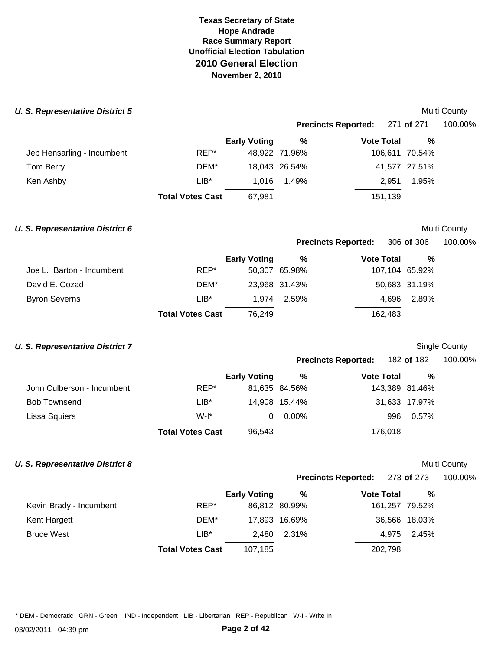#### **U. S. Representative District 5 Multi County Multi County Multi County**

|                            |                         |                     | Precincts Reported: 271 of 271 |                   |                | 100.00% |
|----------------------------|-------------------------|---------------------|--------------------------------|-------------------|----------------|---------|
|                            |                         | <b>Early Voting</b> | %                              | <b>Vote Total</b> | %              |         |
| Jeb Hensarling - Incumbent | REP*                    |                     | 48,922 71.96%                  |                   | 106,611 70.54% |         |
| Tom Berry                  | DEM*                    |                     | 18,043 26.54%                  |                   | 41,577 27.51%  |         |
| Ken Ashby                  | $LIB^*$                 | 1.016               | 1.49%                          | 2.951             | 1.95%          |         |
|                            | <b>Total Votes Cast</b> | 67,981              |                                | 151,139           |                |         |

### **U. S. Representative District 6 Multi County Multi County Multi County**

## **Precincts Reported:** 306 **of** 306 100.00%

|                           |                         | <b>Early Voting</b> | %             | <b>Vote Total</b> | %             |
|---------------------------|-------------------------|---------------------|---------------|-------------------|---------------|
| Joe L. Barton - Incumbent | REP*                    |                     | 50,307 65.98% | 107,104 65.92%    |               |
| David E. Cozad            | DEM*                    |                     | 23,968 31.43% |                   | 50,683 31.19% |
| <b>Byron Severns</b>      | $LIB*$                  |                     | 1.974 2.59%   | 4.696             | 2.89%         |
|                           | <b>Total Votes Cast</b> | 76.249              |               | 162,483           |               |

## **U. S. Representative District 7** Single County

| <b>Precincts Reported:</b> | 182 of 182 | 100.00% |
|----------------------------|------------|---------|
|----------------------------|------------|---------|

|                            |                         | <b>Early Voting</b> | %             | <b>Vote Total</b> | %             |
|----------------------------|-------------------------|---------------------|---------------|-------------------|---------------|
| John Culberson - Incumbent | REP*                    |                     | 81,635 84.56% | 143,389 81.46%    |               |
| <b>Bob Townsend</b>        | $LIB*$                  |                     | 14.908 15.44% |                   | 31,633 17.97% |
| Lissa Squiers              | $W-I^*$                 | 0                   | $0.00\%$      | 996               | 0.57%         |
|                            | <b>Total Votes Cast</b> | 96,543              |               | 176,018           |               |

## **U. S. Representative District 8 Multi County Multi County Multi County**

**Precincts Reported:** 273 **of** 273 100.00%

|                         |                         | <b>Early Voting</b> | %             | <b>Vote Total</b> | %             |
|-------------------------|-------------------------|---------------------|---------------|-------------------|---------------|
| Kevin Brady - Incumbent | REP*                    |                     | 86,812 80.99% | 161,257 79.52%    |               |
| Kent Hargett            | DEM*                    |                     | 17,893 16.69% |                   | 36,566 18.03% |
| <b>Bruce West</b>       | $LIB*$                  | 2.480               | 2.31%         |                   | 4.975 2.45%   |
|                         | <b>Total Votes Cast</b> | 107,185             |               | 202,798           |               |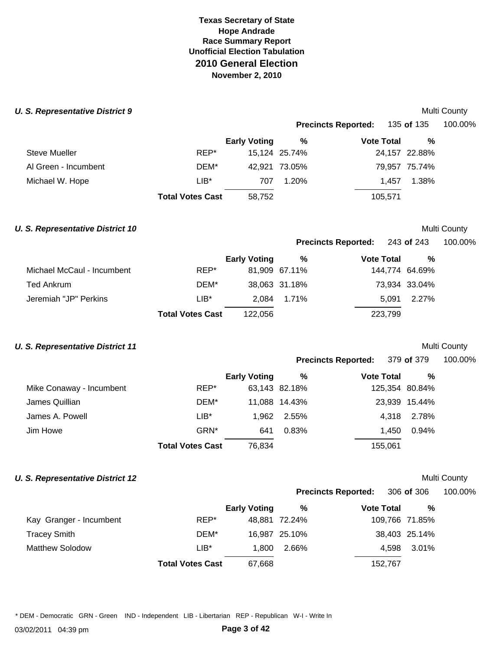#### **U. S. Representative District 9 Multi County 6 and 2009 Multi County 6 and 2009 Multi County 6 and 2009 Multi County 6 and 2009**

|                      |                         |                     | <b>Precincts Reported:</b> |                   | 135 <b>of</b> 135 | 100.00% |  |
|----------------------|-------------------------|---------------------|----------------------------|-------------------|-------------------|---------|--|
|                      |                         | <b>Early Voting</b> | %                          | <b>Vote Total</b> | %                 |         |  |
| <b>Steve Mueller</b> | REP*                    |                     | 15,124 25.74%              |                   | 24,157 22.88%     |         |  |
| Al Green - Incumbent | DEM*                    |                     | 42,921 73.05%              |                   | 79,957 75.74%     |         |  |
| Michael W. Hope      | LIB*                    | 707                 | 1.20%                      | 1.457             | 1.38%             |         |  |
|                      | <b>Total Votes Cast</b> | 58,752              |                            | 105,571           |                   |         |  |

## **U. S. Representative District 10 Multi County Multi County Multi County**

### **Precincts Reported:** 243 **of** 243 100.00%

|                            |                         | <b>Early Voting</b> | %             | <b>Vote Total</b> | %             |
|----------------------------|-------------------------|---------------------|---------------|-------------------|---------------|
| Michael McCaul - Incumbent | REP*                    |                     | 81,909 67.11% | 144,774 64.69%    |               |
| Ted Ankrum                 | DEM*                    |                     | 38,063 31.18% |                   | 73,934 33.04% |
| Jeremiah "JP" Perkins      | LIB*                    |                     | 2.084 1.71%   |                   | 5.091 2.27%   |
|                            | <b>Total Votes Cast</b> | 122,056             |               | 223,799           |               |

# **U. S. Representative District 11 U. S. Representative District 11**

| <b>MUILL</b> COUTILY |  |
|----------------------|--|
|                      |  |

| <b>Precincts Reported:</b> | 379 of 379 | 100.00% |
|----------------------------|------------|---------|
|----------------------------|------------|---------|

|                          |                         | <b>Early Voting</b> | %             | <b>Vote Total</b> | %             |
|--------------------------|-------------------------|---------------------|---------------|-------------------|---------------|
| Mike Conaway - Incumbent | REP*                    |                     | 63,143 82.18% | 125,354 80.84%    |               |
| James Quillian           | DEM*                    |                     | 11.088 14.43% |                   | 23,939 15.44% |
| James A. Powell          | LIB*                    | 1.962               | 2.55%         | 4.318             | 2.78%         |
| Jim Howe                 | GRN*                    | 641                 | 0.83%         | 1.450             | 0.94%         |
|                          | <b>Total Votes Cast</b> | 76,834              |               | 155,061           |               |

## **U. S. Representative District 12** and the set of the set of the set of the set of the Multi County

| <b>Precincts Reported:</b> | 306 of 306 |
|----------------------------|------------|
|                            |            |

**Precincts Reported:** 306 **of** 306 100.00%

|                         |                         | <b>Early Voting</b> | %             | <b>Vote Total</b> | $\frac{0}{0}$  |
|-------------------------|-------------------------|---------------------|---------------|-------------------|----------------|
| Kay Granger - Incumbent | REP*                    |                     | 48.881 72.24% |                   | 109,766 71.85% |
| <b>Tracey Smith</b>     | DEM*                    |                     | 16,987 25.10% |                   | 38,403 25.14%  |
| <b>Matthew Solodow</b>  | $LIB^*$                 | 1.800               | 2.66%         |                   | 4.598 3.01%    |
|                         | <b>Total Votes Cast</b> | 67,668              |               | 152,767           |                |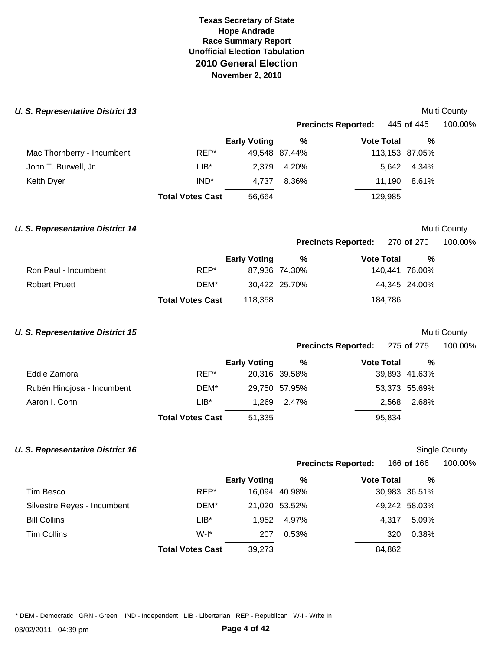#### **U. S. Representative District 13 Multi County County County County County County County County County County County**

|                            |                         |                     |               | <b>Precincts Reported:</b> | 445 <b>of</b> 445 | 100.00% |  |
|----------------------------|-------------------------|---------------------|---------------|----------------------------|-------------------|---------|--|
|                            |                         | <b>Early Voting</b> | %             | <b>Vote Total</b>          | %                 |         |  |
| Mac Thornberry - Incumbent | REP*                    |                     | 49,548 87.44% |                            | 113,153 87.05%    |         |  |
| John T. Burwell, Jr.       | LIB*                    | 2.379               | 4.20%         |                            | 5,642 4.34%       |         |  |
| Keith Dyer                 | IND <sup>*</sup>        | 4.737               | 8.36%         | 11.190                     | 8.61%             |         |  |
|                            | <b>Total Votes Cast</b> | 56,664              |               | 129,985                    |                   |         |  |

## **U. S. Representative District 14 Multi County Multi County Multi County**

## **Precincts Reported:** 270 **of** 270 100.00%

|                      |                         | <b>Early Voting</b> | %             | <b>Vote Total</b> | %             |
|----------------------|-------------------------|---------------------|---------------|-------------------|---------------|
| Ron Paul - Incumbent | REP*                    |                     | 87.936 74.30% | 140.441 76.00%    |               |
| <b>Robert Pruett</b> | DEM*                    |                     | 30.422 25.70% |                   | 44.345 24.00% |
|                      | <b>Total Votes Cast</b> | 118.358             |               | 184.786           |               |

## **U. S. Representative District 15 Multi County Multi County Multi County Multi County**

**Precincts Reported:** 275 **of** 275 100.00% **Early Voting % Vote Total %** 

|                            |                         |        |               | .      |               |  |
|----------------------------|-------------------------|--------|---------------|--------|---------------|--|
| Eddie Zamora               | REP*                    |        | 20,316 39.58% |        | 39,893 41.63% |  |
| Rubén Hinojosa - Incumbent | DEM*                    |        | 29,750 57.95% |        | 53,373 55.69% |  |
| Aaron I. Cohn              | $LIB*$                  |        | 1.269 2.47%   | 2.568  | 2.68%         |  |
|                            | <b>Total Votes Cast</b> | 51,335 |               | 95,834 |               |  |

## **U. S. Representative District 16 Single County County Single County Single County**

**Precincts Reported:** 166 **of** 166 100.00%

|                             |                         | <b>Early Voting</b> | %             | <b>Vote Total</b> | %             |
|-----------------------------|-------------------------|---------------------|---------------|-------------------|---------------|
| Tim Besco                   | REP*                    |                     | 16,094 40.98% |                   | 30,983 36.51% |
| Silvestre Reyes - Incumbent | DEM*                    |                     | 21,020 53.52% |                   | 49,242 58.03% |
| <b>Bill Collins</b>         | $LIB^*$                 | 1.952               | 4.97%         | 4.317             | 5.09%         |
| Tim Collins                 | $W-I^*$                 | 207                 | 0.53%         | 320               | 0.38%         |
|                             | <b>Total Votes Cast</b> | 39,273              |               | 84.862            |               |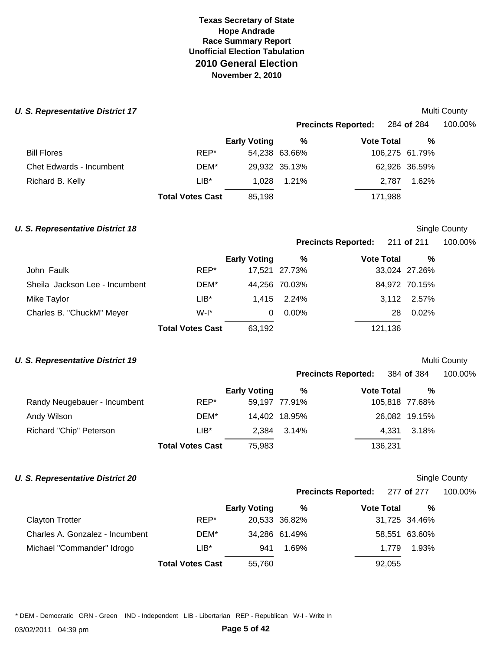#### **U. S. Representative District 17 Multi County Multi County Multi County**

|                                 |                         |                     |               | <b>Precincts Reported:</b> | 284 <b>of</b> 284 | 100.00% |
|---------------------------------|-------------------------|---------------------|---------------|----------------------------|-------------------|---------|
|                                 |                         | <b>Early Voting</b> | %             | <b>Vote Total</b>          | %                 |         |
| <b>Bill Flores</b>              | REP*                    |                     | 54,238 63.66% |                            | 106,275 61.79%    |         |
| <b>Chet Edwards - Incumbent</b> | DEM*                    |                     | 29,932 35.13% |                            | 62,926 36.59%     |         |
| Richard B. Kelly                | LIB*                    | 1.028               | 1.21%         |                            | 1.62%<br>2.787    |         |
|                                 | <b>Total Votes Cast</b> | 85.198              |               | 171,988                    |                   |         |

## **U. S. Representative District 18 Single County County Single County Single County**

**Precincts Reported:** 211 **of** 211 100.00%

|                                |                         | <b>Early Voting</b> | %             | <b>Vote Total</b> | $\%$          |  |
|--------------------------------|-------------------------|---------------------|---------------|-------------------|---------------|--|
| John Faulk                     | REP*                    |                     | 17,521 27.73% |                   | 33,024 27.26% |  |
| Sheila Jackson Lee - Incumbent | DEM*                    |                     | 44,256 70.03% |                   | 84,972 70.15% |  |
| Mike Taylor                    | $LIB*$                  |                     | 1.415 2.24%   |                   | 3,112 2.57%   |  |
| Charles B. "ChuckM" Meyer      | $W-I^*$                 | 0                   | 0.00%         | 28                | 0.02%         |  |
|                                | <b>Total Votes Cast</b> | 63.192              |               | 121,136           |               |  |

## **U. S. Representative District 19 Multi County Multi County Multi County**

**Precincts Reported:** 384 **of** 384 100.00%

|                              |                         | <b>Early Voting</b> | %             | <b>Vote Total</b> | %              |
|------------------------------|-------------------------|---------------------|---------------|-------------------|----------------|
| Randy Neugebauer - Incumbent | REP*                    |                     | 59,197 77.91% |                   | 105,818 77.68% |
| Andy Wilson                  | DEM*                    |                     | 14,402 18.95% |                   | 26,082 19.15%  |
| Richard "Chip" Peterson      | LIB*                    |                     | 2.384 3.14%   |                   | 4.331 3.18%    |
|                              | <b>Total Votes Cast</b> | 75,983              |               | 136.231           |                |

# **U. S. Representative District 20 Single County County Single County Single County**

# **Precincts Reported:** 277 **of** 277 100.00%

| 100.00% |  |  |
|---------|--|--|

|                                 |                         | <b>Early Voting</b> | %             | <b>Vote Total</b> | %             |
|---------------------------------|-------------------------|---------------------|---------------|-------------------|---------------|
| <b>Clayton Trotter</b>          | REP*                    |                     | 20,533 36.82% |                   | 31,725 34.46% |
|                                 |                         |                     |               |                   |               |
| Charles A. Gonzalez - Incumbent | DEM*                    |                     | 34,286 61.49% |                   | 58,551 63.60% |
| Michael "Commander" Idrogo      | $LIB*$                  | 941                 | 1.69%         | 1.779             | 1.93%         |
|                                 | <b>Total Votes Cast</b> | 55,760              |               | 92,055            |               |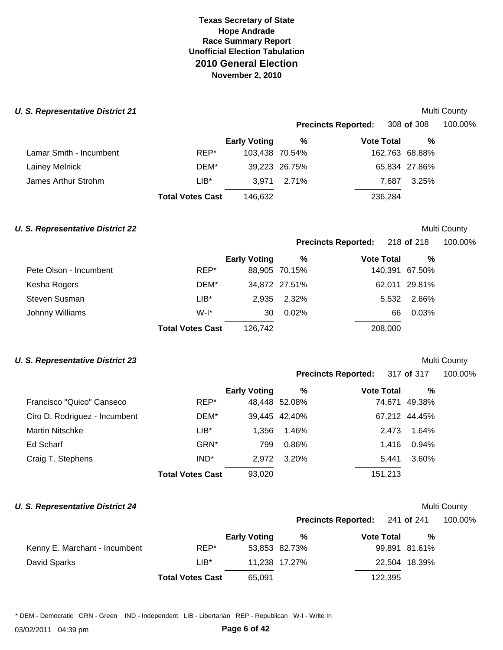#### **U. S. Representative District 21**  Multi County

|                         |                         |                     | <b>Precincts Reported:</b> | 308 of 308        |         | 100.00%        |  |
|-------------------------|-------------------------|---------------------|----------------------------|-------------------|---------|----------------|--|
|                         |                         | <b>Early Voting</b> | %                          | <b>Vote Total</b> |         | %              |  |
| Lamar Smith - Incumbent | REP*                    | 103,438 70.54%      |                            |                   |         | 162,763 68.88% |  |
| Lainey Melnick          | DEM*                    |                     | 39,223 26.75%              |                   |         | 65,834 27.86%  |  |
| James Arthur Strohm     | LIB*                    | 3.971               | 2.71%                      |                   | 7.687   | 3.25%          |  |
|                         | <b>Total Votes Cast</b> | 146.632             |                            |                   | 236,284 |                |  |

## **U. S. Representative District 22** Multi County

### **Precincts Reported:** 218 **of** 218 100.00%

|                        |                         | <b>Early Voting</b> | %             | <b>Vote Total</b> | %             |  |
|------------------------|-------------------------|---------------------|---------------|-------------------|---------------|--|
| Pete Olson - Incumbent | REP*                    |                     | 88,905 70.15% | 140,391 67.50%    |               |  |
| Kesha Rogers           | DEM*                    |                     | 34,872 27.51% |                   | 62,011 29.81% |  |
| Steven Susman          | $LIB*$                  |                     | 2.935 2.32%   | 5,532             | 2.66%         |  |
| Johnny Williams        | $W-I^*$                 | 30                  | $0.02\%$      | 66                | 0.03%         |  |
|                        | <b>Total Votes Cast</b> | 126.742             |               | 208,000           |               |  |

## **U. S. Representative District 23** Multi County

**Precincts Reported:** 317 **of** 317 100.00%

|                               |                         | <b>Early Voting</b> | %             | <b>Vote Total</b> | %             |
|-------------------------------|-------------------------|---------------------|---------------|-------------------|---------------|
| Francisco "Quico" Canseco     | REP*                    |                     | 48,448 52.08% |                   | 74,671 49.38% |
| Ciro D. Rodriguez - Incumbent | DEM*                    |                     | 39,445 42.40% |                   | 67.212 44.45% |
| <b>Martin Nitschke</b>        | $LIB^*$                 | 1.356               | 1.46%         | 2.473             | 1.64%         |
| Ed Scharf                     | GRN*                    | 799                 | 0.86%         | 1.416             | 0.94%         |
| Craig T. Stephens             | IND <sup>*</sup>        | 2.972               | 3.20%         | 5.441             | 3.60%         |
|                               | <b>Total Votes Cast</b> | 93,020              |               | 151,213           |               |

# **U. S. Representative District 24 Multi County Multi County Multi County**

|                            | <b>NULLED COULITY</b> |         |  |  |
|----------------------------|-----------------------|---------|--|--|
| <b>Precincts Reported:</b> | 241 of 241            | 100.00% |  |  |

|                               |                         | <b>Early Voting</b> | %             | <b>Vote Total</b> | %             |
|-------------------------------|-------------------------|---------------------|---------------|-------------------|---------------|
| Kenny E. Marchant - Incumbent | REP*                    |                     | 53,853 82.73% |                   | 99,891 81.61% |
| David Sparks                  | $LIB^*$                 |                     | 11.238 17.27% |                   | 22,504 18.39% |
|                               | <b>Total Votes Cast</b> | 65.091              |               | 122,395           |               |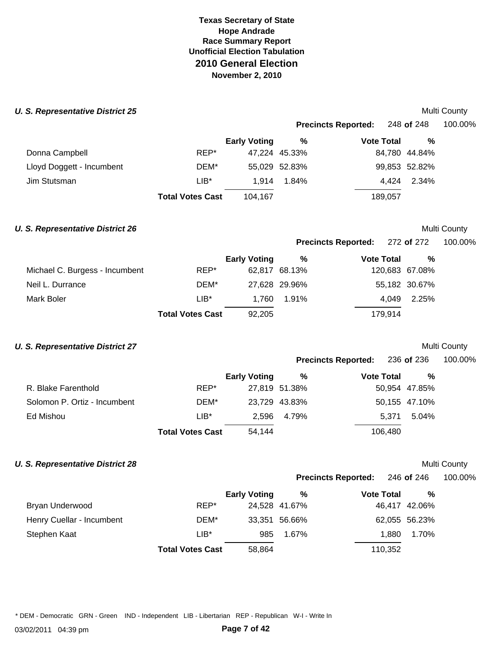### **U. S. Representative District 25** and the set of the set of the set of the set of the Multi County

|                           |                         | <b>Precincts Reported:</b> |               |                   | 248 <b>of</b> 248 | 100.00% |  |
|---------------------------|-------------------------|----------------------------|---------------|-------------------|-------------------|---------|--|
|                           |                         | <b>Early Voting</b>        | %             | <b>Vote Total</b> | %                 |         |  |
| Donna Campbell            | REP*                    |                            | 47,224 45.33% |                   | 84,780 44.84%     |         |  |
| Lloyd Doggett - Incumbent | DEM*                    |                            | 55,029 52.83% |                   | 99,853 52.82%     |         |  |
| Jim Stutsman              | LIB*                    | 1.914                      | 1.84%         | 4.424             | 2.34%             |         |  |
|                           | <b>Total Votes Cast</b> | 104,167                    |               | 189,057           |                   |         |  |

## **U. S. Representative District 26 Multi County Multi County Multi County**

### **Precincts Reported:** 272 **of** 272 100.00%

|                                |                         | <b>Early Voting</b> | %             | <b>Vote Total</b> | %             |
|--------------------------------|-------------------------|---------------------|---------------|-------------------|---------------|
| Michael C. Burgess - Incumbent | REP*                    |                     | 62,817 68.13% | 120,683 67.08%    |               |
| Neil L. Durrance               | DEM*                    |                     | 27,628 29.96% |                   | 55,182 30.67% |
| Mark Boler                     | LIB*                    | 1.760               | 1.91%         | 4.049             | 2.25%         |
|                                | <b>Total Votes Cast</b> | 92,205              |               | 179.914           |               |

## **U. S. Representative District 27 Multi County Multi County Multi County Multi County**

| <b>Precincts Reported:</b> | 236 of 236 | 100.00% |
|----------------------------|------------|---------|
|----------------------------|------------|---------|

|                              |                         | <b>Early Voting</b> | %             | <b>Vote Total</b> | %             |
|------------------------------|-------------------------|---------------------|---------------|-------------------|---------------|
| R. Blake Farenthold          | REP*                    |                     | 27,819 51.38% |                   | 50,954 47.85% |
| Solomon P. Ortiz - Incumbent | DEM*                    |                     | 23,729 43.83% |                   | 50,155 47.10% |
| Ed Mishou                    | $LIB*$                  |                     | 2.596 4.79%   | 5.371             | 5.04%         |
|                              | <b>Total Votes Cast</b> | 54,144              |               | 106,480           |               |

## **U. S. Representative District 28** and the set of the set of the set of the set of the set of the Multi County

**Precincts Reported:** 246 **of** 246 100.00%

|                           |                         | <b>Early Voting</b> | %             | <b>Vote Total</b> | $\frac{9}{6}$ |
|---------------------------|-------------------------|---------------------|---------------|-------------------|---------------|
| Bryan Underwood           | REP*                    |                     | 24,528 41.67% |                   | 46,417 42.06% |
| Henry Cuellar - Incumbent | DEM*                    |                     | 33,351 56.66% |                   | 62,055 56.23% |
| Stephen Kaat              | LIB*                    | 985                 | 1.67%         | 1.880             | 1.70%         |
|                           | <b>Total Votes Cast</b> | 58,864              |               | 110,352           |               |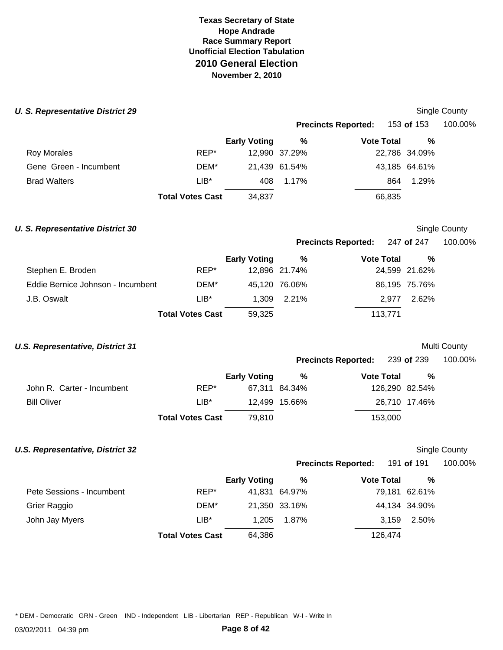#### *U. S. Representative District 29*

|         |                     |                         |                                |                            | 100.00%                                                                                   |
|---------|---------------------|-------------------------|--------------------------------|----------------------------|-------------------------------------------------------------------------------------------|
|         | <b>Early Voting</b> | %                       |                                | %                          |                                                                                           |
| REP*    |                     |                         |                                |                            |                                                                                           |
| DEM*    |                     |                         |                                |                            |                                                                                           |
| $LIB^*$ | 408                 | 1.17%                   |                                | 1.29%                      |                                                                                           |
|         | 34,837              |                         |                                |                            |                                                                                           |
|         |                     | <b>Total Votes Cast</b> | 12,990 37.29%<br>21,439 61.54% | <b>Precincts Reported:</b> | 153 <b>of</b> 153<br><b>Vote Total</b><br>22,786 34.09%<br>43,185 64.61%<br>864<br>66,835 |

## **U. S. Representative District 30** Single County

Single County

## **Precincts Reported:** 247 **of** 247 100.00%

|                                   |                         | <b>Early Voting</b> | %             | <b>Vote Total</b> | %             |  |
|-----------------------------------|-------------------------|---------------------|---------------|-------------------|---------------|--|
| Stephen E. Broden                 | REP*                    |                     | 12,896 21.74% |                   | 24,599 21.62% |  |
| Eddie Bernice Johnson - Incumbent | DEM*                    |                     | 45,120 76.06% |                   | 86,195 75.76% |  |
| J.B. Oswalt                       | $LIB*$                  |                     | 1.309 2.21%   | 2.977             | 2.62%         |  |
|                                   | <b>Total Votes Cast</b> | 59,325              |               | 113.771           |               |  |

## **U.S. Representative, District 31 Multi County Multi County Multi County Multi County**

| <b>Precincts Reported:</b> | 239 of 239 | 100.00% |
|----------------------------|------------|---------|
|----------------------------|------------|---------|

|                            |                         | <b>Early Voting</b> | %             | <b>Vote Total</b> | %             |
|----------------------------|-------------------------|---------------------|---------------|-------------------|---------------|
| John R. Carter - Incumbent | REP*                    |                     | 67,311 84.34% | 126,290 82.54%    |               |
| <b>Bill Oliver</b>         | LIB*                    |                     | 12.499 15.66% |                   | 26,710 17.46% |
|                            | <b>Total Votes Cast</b> | 79.810              |               | 153,000           |               |

#### **U.S. Representative, District 32** Single County of the state of the state of the state of the state of the state of the state of the state of the state of the state of the state of the state of the state of the state of t

| Single County |
|---------------|
|               |

| <b>Precincts Reported:</b> | 191 of 191 | 100.00% |
|----------------------------|------------|---------|

|  | TUU.UU7 |  |  |  |
|--|---------|--|--|--|
|  |         |  |  |  |

|                           |                         | <b>Early Voting</b> | %             | <b>Vote Total</b> | %             |
|---------------------------|-------------------------|---------------------|---------------|-------------------|---------------|
| Pete Sessions - Incumbent | REP*                    |                     | 41,831 64.97% |                   | 79,181 62.61% |
| Grier Raggio              | DEM*                    |                     | 21,350 33.16% |                   | 44,134 34.90% |
| John Jay Myers            | $LIB*$                  | 1.205               | 1.87%         | 3.159             | 2.50%         |
|                           | <b>Total Votes Cast</b> | 64,386              |               | 126,474           |               |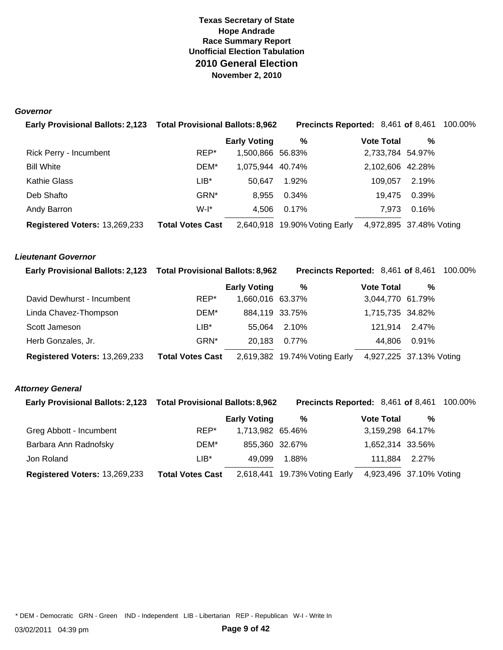#### *Governor*

| Early Provisional Ballots: 2,123 Total Provisional Ballots: 8,962 |                         |                     | <b>Precincts Reported: 8,461 of 8,461 100.00%</b> |                         |       |  |
|-------------------------------------------------------------------|-------------------------|---------------------|---------------------------------------------------|-------------------------|-------|--|
|                                                                   |                         | <b>Early Voting</b> | %                                                 | <b>Vote Total</b>       | %     |  |
| Rick Perry - Incumbent                                            | REP*                    | 1,500,866 56.83%    |                                                   | 2,733,784 54.97%        |       |  |
| <b>Bill White</b>                                                 | DEM*                    | 1,075,944 40.74%    |                                                   | 2,102,606 42.28%        |       |  |
| Kathie Glass                                                      | LIB*                    | 50.647              | 1.92%                                             | 109.057                 | 2.19% |  |
| Deb Shafto                                                        | GRN*                    | 8,955               | 0.34%                                             | 19.475                  | 0.39% |  |
| Andy Barron                                                       | $W-I^*$                 | 4.506               | 0.17%                                             | 7.973                   | 0.16% |  |
| Registered Voters: 13,269,233                                     | <b>Total Votes Cast</b> |                     | 2,640,918 19.90% Voting Early                     | 4,972,895 37.48% Voting |       |  |

#### *Lieutenant Governor*

| Early Provisional Ballots: 2,123 Total Provisional Ballots: 8,962 |                         |                     | Precincts Reported: 8,461 of 8,461 |                         |       | 100.00% |
|-------------------------------------------------------------------|-------------------------|---------------------|------------------------------------|-------------------------|-------|---------|
|                                                                   |                         | <b>Early Voting</b> | %                                  | <b>Vote Total</b>       | %     |         |
| David Dewhurst - Incumbent                                        | REP*                    | 1,660,016 63.37%    |                                    | 3,044,770 61.79%        |       |         |
| Linda Chavez-Thompson                                             | DEM*                    | 884,119 33.75%      |                                    | 1,715,735 34.82%        |       |         |
| Scott Jameson                                                     | LIB*                    | 55.064              | 2.10%                              | 121.914                 | 2.47% |         |
| Herb Gonzales, Jr.                                                | GRN <sup>*</sup>        | 20.183              | 0.77%                              | 44.806                  | 0.91% |         |
| Registered Voters: 13,269,233                                     | <b>Total Votes Cast</b> |                     | 2,619,382 19.74% Voting Early      | 4,927,225 37.13% Voting |       |         |

## *Attorney General*

| Early Provisional Ballots: 2,123 Total Provisional Ballots: 8,962 |                         |                     | <b>Precincts Reported: 8,461 of 8,461</b> |                         |   | 100.00% |
|-------------------------------------------------------------------|-------------------------|---------------------|-------------------------------------------|-------------------------|---|---------|
|                                                                   |                         | <b>Early Voting</b> | %                                         | <b>Vote Total</b>       | % |         |
| Greg Abbott - Incumbent                                           | REP*                    | 1,713,982 65.46%    |                                           | 3,159,298 64.17%        |   |         |
| Barbara Ann Radnofsky                                             | DEM*                    | 855,360 32.67%      |                                           | 1,652,314 33.56%        |   |         |
| Jon Roland                                                        | $LIB*$                  | 49.099              | 1.88%                                     | 111,884 2.27%           |   |         |
| Registered Voters: 13,269,233                                     | <b>Total Votes Cast</b> |                     | 2,618,441 19.73% Voting Early             | 4,923,496 37.10% Voting |   |         |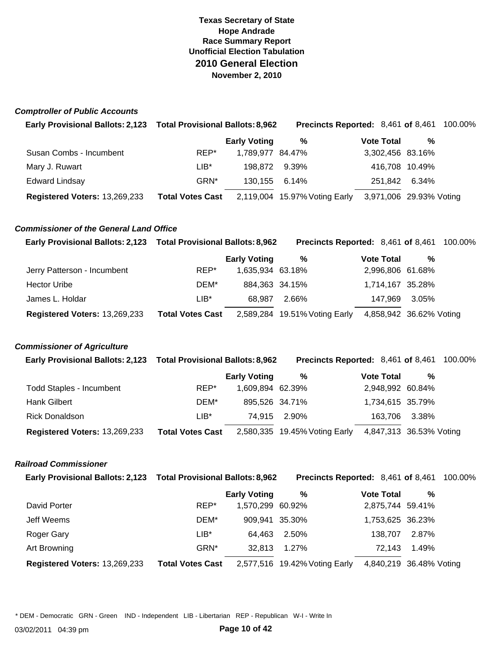#### *Comptroller of Public Accounts*

| Early Provisional Ballots: 2,123 Total Provisional Ballots: 8,962 |                         |                     | <b>Precincts Reported: 8,461 of 8,461 100.00%</b> |                         |   |  |
|-------------------------------------------------------------------|-------------------------|---------------------|---------------------------------------------------|-------------------------|---|--|
|                                                                   |                         | <b>Early Voting</b> | %                                                 | <b>Vote Total</b>       | % |  |
| Susan Combs - Incumbent                                           | REP*                    | 1,789,977 84.47%    |                                                   | 3,302,456 83.16%        |   |  |
| Mary J. Ruwart                                                    | LIB*                    | 198.872 9.39%       |                                                   | 416,708 10.49%          |   |  |
| <b>Edward Lindsay</b>                                             | GRN*                    | 130.155             | 6.14%                                             | 251,842 6.34%           |   |  |
| Registered Voters: 13,269,233                                     | <b>Total Votes Cast</b> |                     | 2,119,004 15.97% Voting Early                     | 3,971,006 29.93% Voting |   |  |

## *Commissioner of the General Land Office*

| Early Provisional Ballots: 2,123 Total Provisional Ballots: 8,962 |                         |                     | <b>Precincts Reported: 8,461 of 8,461</b> |                         |       | 100.00% |
|-------------------------------------------------------------------|-------------------------|---------------------|-------------------------------------------|-------------------------|-------|---------|
|                                                                   |                         | <b>Early Voting</b> | %                                         | <b>Vote Total</b>       | %     |         |
| Jerry Patterson - Incumbent                                       | REP*                    | 1,635,934 63.18%    |                                           | 2,996,806 61.68%        |       |         |
| <b>Hector Uribe</b>                                               | DEM*                    | 884.363 34.15%      |                                           | 1,714,167 35.28%        |       |         |
| James L. Holdar                                                   | $LIB*$                  | 68.987              | 2.66%                                     | 147.969                 | 3.05% |         |
| Registered Voters: 13,269,233                                     | <b>Total Votes Cast</b> |                     | 2,589,284 19.51% Voting Early             | 4,858,942 36.62% Voting |       |         |

## *Commissioner of Agriculture*

| Early Provisional Ballots: 2,123 Total Provisional Ballots: 8,962 |                         |                     | <b>Precincts Reported:</b> 8,461 of 8,461 100.00% |                         |   |  |
|-------------------------------------------------------------------|-------------------------|---------------------|---------------------------------------------------|-------------------------|---|--|
|                                                                   |                         | <b>Early Voting</b> | %                                                 | <b>Vote Total</b>       | % |  |
| <b>Todd Staples - Incumbent</b>                                   | REP*                    | 1,609,894 62.39%    |                                                   | 2,948,992 60.84%        |   |  |
| Hank Gilbert                                                      | DEM*                    | 895,526 34.71%      |                                                   | 1,734,615 35.79%        |   |  |
| <b>Rick Donaldson</b>                                             | $LIB*$                  |                     | 74.915 2.90%                                      | 163,706 3.38%           |   |  |
| Registered Voters: 13,269,233                                     | <b>Total Votes Cast</b> |                     | 2,580,335 19.45% Voting Early                     | 4,847,313 36.53% Voting |   |  |

### *Railroad Commissioner*

|  | Early Provisional Ballots: 2,123  Total Provisional Ballots: 8,962 | <b>Precincts Reported:</b> 8,461 of 8,461 100.00% |  |  |
|--|--------------------------------------------------------------------|---------------------------------------------------|--|--|
|--|--------------------------------------------------------------------|---------------------------------------------------|--|--|

|                               |                         | <b>Early Voting</b> | %                             | <b>Vote Total</b> | $\%$                    |
|-------------------------------|-------------------------|---------------------|-------------------------------|-------------------|-------------------------|
| David Porter                  | REP*                    | 1,570,299 60.92%    |                               | 2,875,744 59.41%  |                         |
| Jeff Weems                    | DEM*                    | 909,941 35.30%      |                               | 1,753,625 36.23%  |                         |
| Roger Gary                    | $LIB*$                  | 64.463              | 2.50%                         | 138.707           | 2.87%                   |
| Art Browning                  | GRN <sup>*</sup>        | 32.813              | 1.27%                         | 72.143            | 1.49%                   |
| Registered Voters: 13,269,233 | <b>Total Votes Cast</b> |                     | 2,577,516 19.42% Voting Early |                   | 4,840,219 36.48% Voting |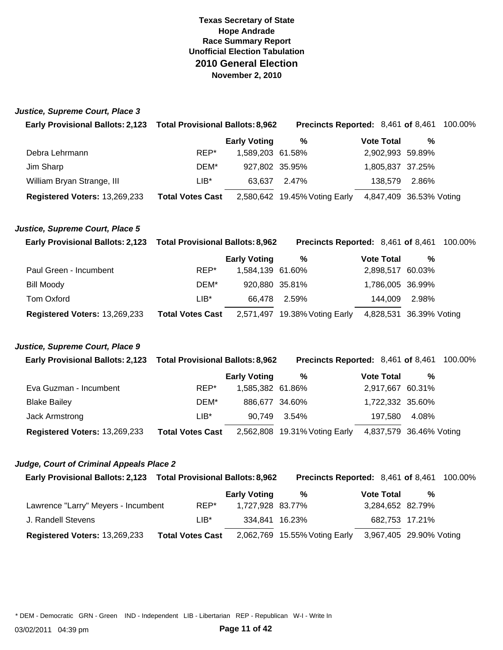#### *Justice, Supreme Court, Place 3*

| Early Provisional Ballots: 2,123 Total Provisional Ballots: 8,962 |                         |                     | Precincts Reported: 8,461 of 8,461 |                         |       | 100.00% |
|-------------------------------------------------------------------|-------------------------|---------------------|------------------------------------|-------------------------|-------|---------|
|                                                                   |                         | <b>Early Voting</b> | %                                  | <b>Vote Total</b>       | %     |         |
| Debra Lehrmann                                                    | REP*                    | 1,589,203 61.58%    |                                    | 2,902,993 59.89%        |       |         |
| Jim Sharp                                                         | DEM*                    | 927,802 35.95%      |                                    | 1,805,837 37.25%        |       |         |
| William Bryan Strange, III                                        | LIB*                    | 63.637              | 2.47%                              | 138.579                 | 2.86% |         |
| Registered Voters: 13,269,233                                     | <b>Total Votes Cast</b> |                     | 2,580,642 19.45% Voting Early      | 4,847,409 36.53% Voting |       |         |

### *Justice, Supreme Court, Place 5*

| Early Provisional Ballots: 2,123 Total Provisional Ballots: 8,962 |                         |                     | <b>Precincts Reported:</b> 8,461 of 8,461 100.00% |                         |       |  |
|-------------------------------------------------------------------|-------------------------|---------------------|---------------------------------------------------|-------------------------|-------|--|
|                                                                   |                         | <b>Early Voting</b> | %                                                 | <b>Vote Total</b>       | %     |  |
| Paul Green - Incumbent                                            | REP*                    | 1,584,139 61.60%    |                                                   | 2,898,517 60.03%        |       |  |
| Bill Moody                                                        | DEM*                    | 920,880 35.81%      |                                                   | 1,786,005 36.99%        |       |  |
| <b>Tom Oxford</b>                                                 | $LIB^*$                 | 66.478              | 2.59%                                             | 144.009                 | 2.98% |  |
| Registered Voters: 13,269,233                                     | <b>Total Votes Cast</b> |                     | 2,571,497 19.38% Voting Early                     | 4,828,531 36.39% Voting |       |  |

#### *Justice, Supreme Court, Place 9*

| Early Provisional Ballots: 2,123 Total Provisional Ballots: 8,962 |                         |                     | <b>Precincts Reported: 8,461 of 8,461</b> |                         |       | 100.00% |
|-------------------------------------------------------------------|-------------------------|---------------------|-------------------------------------------|-------------------------|-------|---------|
|                                                                   |                         | <b>Early Voting</b> | %                                         | <b>Vote Total</b>       | %     |         |
| Eva Guzman - Incumbent                                            | REP*                    | 1,585,382 61.86%    |                                           | 2,917,667 60.31%        |       |         |
| <b>Blake Bailey</b>                                               | DEM*                    | 886.677 34.60%      |                                           | 1,722,332 35.60%        |       |         |
| Jack Armstrong                                                    | LIB*                    | 90.749              | 3.54%                                     | 197.580                 | 4.08% |         |
| Registered Voters: 13,269,233                                     | <b>Total Votes Cast</b> |                     | 2,562,808 19.31% Voting Early             | 4,837,579 36.46% Voting |       |         |

#### *Judge, Court of Criminal Appeals Place 2*

| Early Provisional Ballots: 2,123 Total Provisional Ballots: 8,962 |                         |                     | Precincts Reported: 8,461 of 8,461 |                         |   | 100.00% |
|-------------------------------------------------------------------|-------------------------|---------------------|------------------------------------|-------------------------|---|---------|
|                                                                   |                         | <b>Early Voting</b> | %                                  | <b>Vote Total</b>       | % |         |
| Lawrence "Larry" Meyers - Incumbent                               | REP*                    | 1,727,928 83.77%    |                                    | 3,284,652 82.79%        |   |         |
| J. Randell Stevens                                                | $LIB*$                  | 334.841 16.23%      |                                    | 682,753 17.21%          |   |         |
| Registered Voters: 13,269,233                                     | <b>Total Votes Cast</b> |                     | 2,062,769 15.55% Voting Early      | 3,967,405 29.90% Voting |   |         |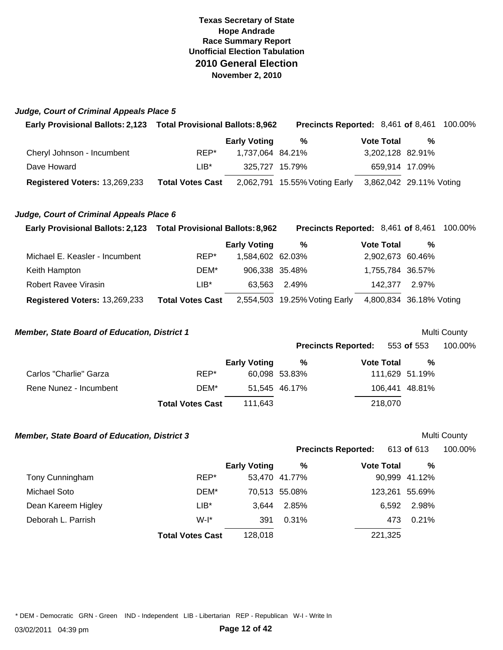## *Judge, Court of Criminal Appeals Place 5*

| Early Provisional Ballots: 2,123 Total Provisional Ballots: 8,962 |                         |                     |                               |                   | <b>Precincts Reported: 8,461 of 8,461 100.00%</b> |
|-------------------------------------------------------------------|-------------------------|---------------------|-------------------------------|-------------------|---------------------------------------------------|
|                                                                   |                         | <b>Early Voting</b> | %                             | <b>Vote Total</b> | %                                                 |
| Cheryl Johnson - Incumbent                                        | REP*                    | 1.737.064 84.21%    |                               | 3,202,128 82.91%  |                                                   |
| Dave Howard                                                       | $LIB*$                  | 325.727 15.79%      |                               | 659,914 17.09%    |                                                   |
| Registered Voters: 13,269,233                                     | <b>Total Votes Cast</b> |                     | 2,062,791 15.55% Voting Early |                   | 3,862,042 29.11% Voting                           |

#### *Judge, Court of Criminal Appeals Place 6*

| Early Provisional Ballots: 2,123 Total Provisional Ballots: 8,962 |                         |                     | <b>Precincts Reported:</b> 8,461 of 8,461 100.00% |                         |       |  |
|-------------------------------------------------------------------|-------------------------|---------------------|---------------------------------------------------|-------------------------|-------|--|
|                                                                   |                         | <b>Early Voting</b> | %                                                 | <b>Vote Total</b>       | %     |  |
| Michael E. Keasler - Incumbent                                    | REP*                    | 1,584,602 62.03%    |                                                   | 2,902,673 60.46%        |       |  |
| Keith Hampton                                                     | DEM*                    | 906,338 35.48%      |                                                   | 1,755,784 36.57%        |       |  |
| Robert Ravee Virasin                                              | $LIB*$                  | 63.563              | 2.49%                                             | 142.377                 | 2.97% |  |
| Registered Voters: 13,269,233                                     | <b>Total Votes Cast</b> |                     | 2,554,503 19.25% Voting Early                     | 4,800,834 36.18% Voting |       |  |

#### **Member, State Board of Education, District 1 Multi County Multi County**

|                        |                         |                     | <b>Precincts Reported:</b> 553 of 553 |                   |                | 100.00% |
|------------------------|-------------------------|---------------------|---------------------------------------|-------------------|----------------|---------|
|                        |                         | <b>Early Voting</b> | %                                     | <b>Vote Total</b> | %              |         |
| Carlos "Charlie" Garza | REP*                    |                     | 60,098 53.83%                         |                   | 111,629 51.19% |         |
| Rene Nunez - Incumbent | DEM*                    |                     | 51.545 46.17%                         |                   | 106,441 48.81% |         |
|                        | <b>Total Votes Cast</b> | 111.643             |                                       | 218,070           |                |         |

### **Member, State Board of Education, District 3 Multi County Multi County**

|                    |                         |                     |               | <b>Precincts Reported:</b> | 613 <b>of</b> 613 | 100.00% |
|--------------------|-------------------------|---------------------|---------------|----------------------------|-------------------|---------|
|                    |                         | <b>Early Voting</b> | %             | <b>Vote Total</b>          | %                 |         |
| Tony Cunningham    | REP*                    |                     | 53,470 41.77% |                            | 90,999 41.12%     |         |
| Michael Soto       | DEM*                    |                     | 70,513 55.08% |                            | 123,261 55.69%    |         |
| Dean Kareem Higley | LIB*                    | 3.644               | 2.85%         |                            | 2.98%<br>6.592    |         |
| Deborah L. Parrish | $W-I^*$                 | 391                 | 0.31%         |                            | 0.21%<br>473      |         |
|                    | <b>Total Votes Cast</b> | 128.018             |               |                            | 221,325           |         |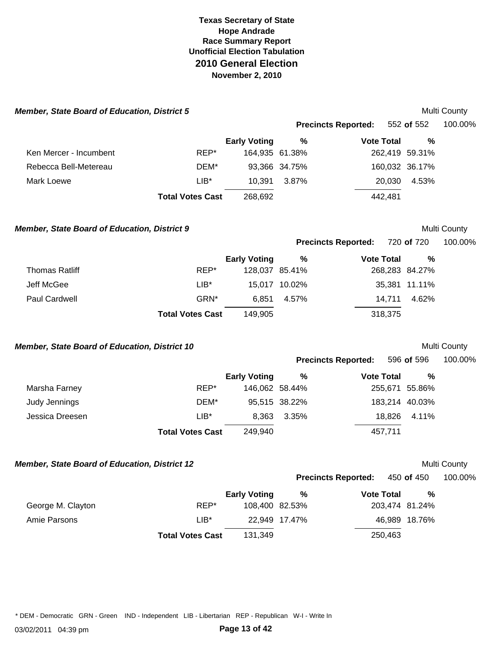|                                               | <b>Member, State Board of Education, District 5</b> |                     |               |                            |                | Multi County |
|-----------------------------------------------|-----------------------------------------------------|---------------------|---------------|----------------------------|----------------|--------------|
|                                               |                                                     |                     |               | <b>Precincts Reported:</b> | 552 of 552     | 100.00%      |
|                                               |                                                     | <b>Early Voting</b> | $\%$          | <b>Vote Total</b>          | %              |              |
| Ken Mercer - Incumbent                        | REP*                                                | 164,935 61.38%      |               |                            | 262,419 59.31% |              |
| Rebecca Bell-Metereau                         | DEM*                                                |                     | 93,366 34.75% |                            | 160,032 36.17% |              |
| Mark Loewe                                    | $LIB*$                                              | 10,391              | 3.87%         | 20,030                     | 4.53%          |              |
|                                               | <b>Total Votes Cast</b>                             | 268,692             |               | 442,481                    |                |              |
| Member, State Board of Education, District 9  |                                                     |                     |               |                            |                | Multi County |
|                                               |                                                     |                     |               | <b>Precincts Reported:</b> | 720 of 720     | 100.00%      |
|                                               |                                                     | <b>Early Voting</b> | $\%$          | <b>Vote Total</b>          | $\%$           |              |
| <b>Thomas Ratliff</b>                         | REP*                                                | 128,037 85.41%      |               |                            | 268,283 84.27% |              |
| Jeff McGee                                    | $LIB^*$                                             |                     | 15,017 10.02% |                            | 35,381 11.11%  |              |
| Paul Cardwell                                 | GRN*                                                | 6,851               | 4.57%         | 14,711                     | 4.62%          |              |
|                                               | <b>Total Votes Cast</b>                             | 149,905             |               | 318,375                    |                |              |
|                                               |                                                     |                     |               |                            |                |              |
|                                               |                                                     |                     |               |                            |                | Multi County |
|                                               |                                                     |                     |               | <b>Precincts Reported:</b> | 596 of 596     | 100.00%      |
| Member, State Board of Education, District 10 |                                                     | <b>Early Voting</b> | $\%$          | <b>Vote Total</b>          | $\%$           |              |
| Marsha Farney                                 | REP*                                                | 146,062 58.44%      |               |                            | 255,671 55.86% |              |
| Judy Jennings                                 | DEM*                                                |                     | 95,515 38.22% |                            | 183,214 40.03% |              |
| Jessica Dreesen                               | $LIB*$                                              | 8,363               | 3.35%         | 18,826                     | 4.11%          |              |
|                                               | <b>Total Votes Cast</b>                             | 249,940             |               | 457,711                    |                |              |
| Member, State Board of Education, District 12 |                                                     |                     |               |                            |                | Multi County |
|                                               |                                                     |                     |               | <b>Precincts Reported:</b> | 450 of 450     | 100.00%      |
|                                               |                                                     | <b>Early Voting</b> | $\%$          | <b>Vote Total</b>          | $\%$           |              |
| George M. Clayton                             | REP*                                                | 108,400 82.53%      |               |                            | 203,474 81.24% |              |
| Amie Parsons                                  | $LIB*$                                              |                     | 22,949 17.47% |                            | 46,989 18.76%  |              |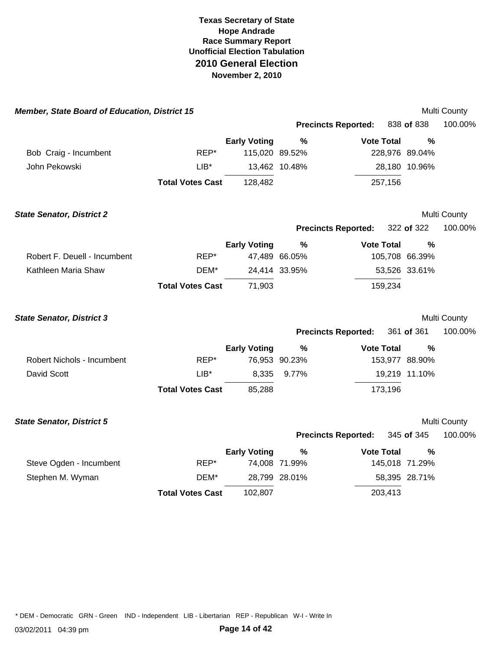| Member, State Board of Education, District 15 |                         |                     |               |                            |         |                | Multi County |
|-----------------------------------------------|-------------------------|---------------------|---------------|----------------------------|---------|----------------|--------------|
|                                               |                         |                     |               | <b>Precincts Reported:</b> |         | 838 of 838     | 100.00%      |
|                                               |                         | <b>Early Voting</b> | %             | <b>Vote Total</b>          |         | $\frac{0}{0}$  |              |
| Bob Craig - Incumbent                         | REP*                    | 115,020 89.52%      |               |                            |         | 228,976 89.04% |              |
| John Pekowski                                 | $LIB^*$                 |                     | 13,462 10.48% |                            |         | 28,180 10.96%  |              |
|                                               | <b>Total Votes Cast</b> | 128,482             |               |                            | 257,156 |                |              |
| <b>State Senator, District 2</b>              |                         |                     |               |                            |         |                | Multi County |
|                                               |                         |                     |               | <b>Precincts Reported:</b> |         | 322 of 322     | 100.00%      |
|                                               |                         | <b>Early Voting</b> | %             | <b>Vote Total</b>          |         | $\frac{0}{0}$  |              |
| Robert F. Deuell - Incumbent                  | REP*                    |                     | 47,489 66.05% |                            |         | 105,708 66.39% |              |
| Kathleen Maria Shaw                           | DEM*                    |                     | 24,414 33.95% |                            |         | 53,526 33.61%  |              |
|                                               | <b>Total Votes Cast</b> | 71,903              |               |                            | 159,234 |                |              |
| <b>State Senator, District 3</b>              |                         |                     |               |                            |         |                | Multi County |
|                                               |                         |                     |               | <b>Precincts Reported:</b> |         | 361 of 361     | 100.00%      |
|                                               |                         | <b>Early Voting</b> | $\%$          | <b>Vote Total</b>          |         | $\frac{0}{0}$  |              |
| Robert Nichols - Incumbent                    | REP*                    |                     | 76,953 90.23% |                            |         | 153,977 88.90% |              |
| David Scott                                   | $LIB*$                  | 8,335               | 9.77%         |                            |         | 19,219 11.10%  |              |
|                                               | <b>Total Votes Cast</b> | 85,288              |               |                            | 173,196 |                |              |
| <b>State Senator, District 5</b>              |                         |                     |               |                            |         |                | Multi County |
|                                               |                         |                     |               | <b>Precincts Reported:</b> |         | 345 of 345     | 100.00%      |
|                                               |                         | <b>Early Voting</b> | $\%$          | <b>Vote Total</b>          |         | %              |              |
| Steve Ogden - Incumbent                       | REP*                    |                     | 74,008 71.99% |                            |         | 145,018 71.29% |              |
| Stephen M. Wyman                              | DEM*                    |                     | 28,799 28.01% |                            |         | 58,395 28.71%  |              |
|                                               | <b>Total Votes Cast</b> | 102,807             |               |                            | 203,413 |                |              |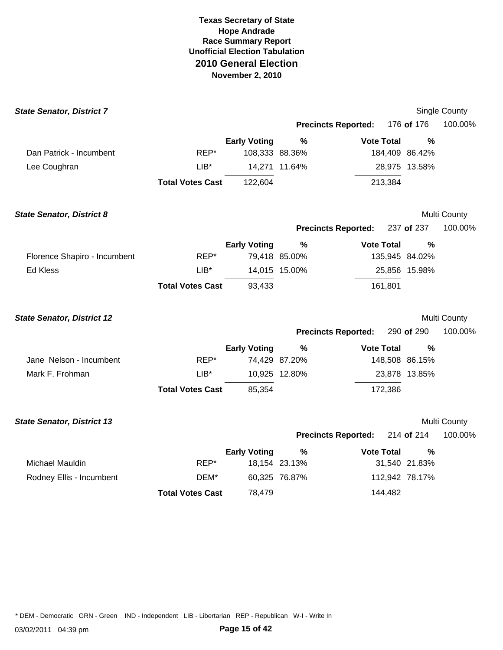| <b>State Senator, District 7</b>  |                         |                     |               |                            |                | <b>Single County</b> |
|-----------------------------------|-------------------------|---------------------|---------------|----------------------------|----------------|----------------------|
|                                   |                         |                     |               | <b>Precincts Reported:</b> | 176 of 176     | 100.00%              |
|                                   |                         | <b>Early Voting</b> | %             | <b>Vote Total</b>          | %              |                      |
| Dan Patrick - Incumbent           | REP*                    | 108,333 88.36%      |               |                            | 184,409 86.42% |                      |
| Lee Coughran                      | $LIB*$                  |                     | 14,271 11.64% |                            | 28,975 13.58%  |                      |
|                                   | <b>Total Votes Cast</b> | 122,604             |               | 213,384                    |                |                      |
| <b>State Senator, District 8</b>  |                         |                     |               |                            |                | Multi County         |
|                                   |                         |                     |               | <b>Precincts Reported:</b> | 237 of 237     | 100.00%              |
|                                   |                         | <b>Early Voting</b> | %             | <b>Vote Total</b>          | $\frac{0}{0}$  |                      |
| Florence Shapiro - Incumbent      | REP*                    |                     | 79,418 85.00% |                            | 135,945 84.02% |                      |
| Ed Kless                          | $LIB*$                  |                     | 14,015 15.00% |                            | 25,856 15.98%  |                      |
|                                   | <b>Total Votes Cast</b> | 93,433              |               | 161,801                    |                |                      |
| <b>State Senator, District 12</b> |                         |                     |               |                            |                | Multi County         |
|                                   |                         |                     |               | <b>Precincts Reported:</b> | 290 of 290     | 100.00%              |
|                                   |                         | <b>Early Voting</b> | $\%$          | <b>Vote Total</b>          | $\frac{0}{0}$  |                      |
| Jane Nelson - Incumbent           | REP*                    |                     | 74,429 87.20% |                            | 148,508 86.15% |                      |
| Mark F. Frohman                   | $LIB*$                  |                     | 10,925 12.80% |                            | 23,878 13.85%  |                      |
|                                   | <b>Total Votes Cast</b> | 85,354              |               | 172,386                    |                |                      |
| <b>State Senator, District 13</b> |                         |                     |               |                            |                | Multi County         |
|                                   |                         |                     |               | <b>Precincts Reported:</b> | 214 of 214     | 100.00%              |
|                                   |                         | <b>Early Voting</b> | $\%$          | <b>Vote Total</b>          | %              |                      |
| Michael Mauldin                   | REP*                    |                     | 18,154 23.13% |                            | 31,540 21.83%  |                      |
| Rodney Ellis - Incumbent          | DEM*                    |                     | 60,325 76.87% |                            | 112,942 78.17% |                      |
|                                   | <b>Total Votes Cast</b> | 78,479              |               | 144,482                    |                |                      |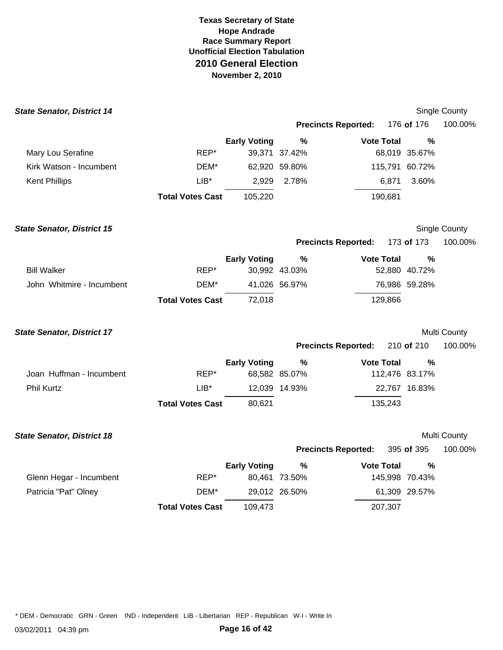| <b>State Senator, District 14</b> |                         |                     |               |                            |                | <b>Single County</b> |
|-----------------------------------|-------------------------|---------------------|---------------|----------------------------|----------------|----------------------|
|                                   |                         |                     |               | <b>Precincts Reported:</b> | 176 of 176     | 100.00%              |
|                                   |                         | <b>Early Voting</b> | %             | <b>Vote Total</b>          | $\frac{0}{0}$  |                      |
| Mary Lou Serafine                 | REP*                    |                     | 39,371 37.42% |                            | 68,019 35.67%  |                      |
| Kirk Watson - Incumbent           | DEM*                    |                     | 62,920 59.80% |                            | 115,791 60.72% |                      |
| <b>Kent Phillips</b>              | $LIB*$                  | 2,929               | 2.78%         | 6,871                      | 3.60%          |                      |
|                                   | <b>Total Votes Cast</b> | 105,220             |               | 190,681                    |                |                      |
| <b>State Senator, District 15</b> |                         |                     |               |                            |                | Single County        |
|                                   |                         |                     |               | <b>Precincts Reported:</b> | 173 of 173     | 100.00%              |
|                                   |                         | <b>Early Voting</b> | $\frac{9}{6}$ | <b>Vote Total</b>          | %              |                      |
| <b>Bill Walker</b>                | REP*                    |                     | 30,992 43.03% |                            | 52,880 40.72%  |                      |
| John Whitmire - Incumbent         | DEM*                    |                     | 41,026 56.97% |                            | 76,986 59.28%  |                      |
|                                   | <b>Total Votes Cast</b> | 72,018              |               | 129,866                    |                |                      |
| <b>State Senator, District 17</b> |                         |                     |               |                            |                | Multi County         |
|                                   |                         |                     |               | <b>Precincts Reported:</b> | 210 of 210     | 100.00%              |
|                                   |                         | <b>Early Voting</b> | $\frac{9}{6}$ | <b>Vote Total</b>          | %              |                      |
| Joan Huffman - Incumbent          | REP*                    |                     | 68,582 85.07% |                            | 112,476 83.17% |                      |
| <b>Phil Kurtz</b>                 | $LIB*$                  |                     | 12,039 14.93% |                            | 22,767 16.83%  |                      |
|                                   | <b>Total Votes Cast</b> | 80,621              |               | 135,243                    |                |                      |
| <b>State Senator, District 18</b> |                         |                     |               |                            |                | Multi County         |
|                                   |                         |                     |               | <b>Precincts Reported:</b> | 395 of 395     | 100.00%              |
|                                   |                         | <b>Early Voting</b> | $\%$          | <b>Vote Total</b>          | $\frac{0}{0}$  |                      |
| Glenn Hegar - Incumbent           | REP*                    |                     | 80,461 73.50% |                            | 145,998 70.43% |                      |
| Patricia "Pat" Olney              | DEM*                    |                     | 29,012 26.50% |                            | 61,309 29.57%  |                      |
|                                   | <b>Total Votes Cast</b> | 109,473             |               | 207,307                    |                |                      |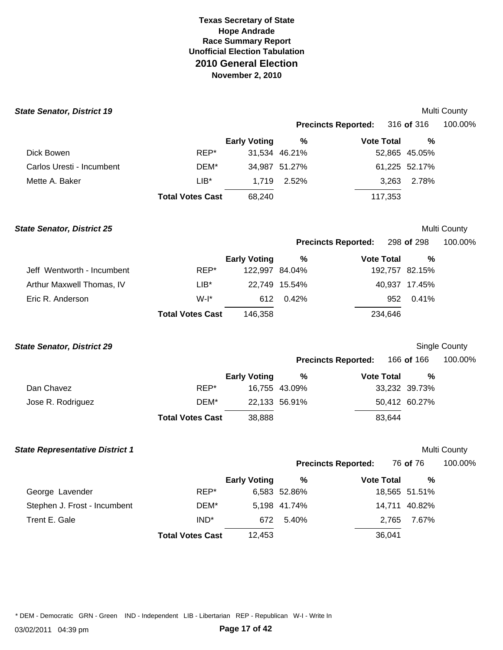| <b>State Senator, District 19</b> |                         |                     |               |                            |               | Multi County |
|-----------------------------------|-------------------------|---------------------|---------------|----------------------------|---------------|--------------|
|                                   |                         |                     |               | <b>Precincts Reported:</b> | 316 of 316    | 100.00%      |
|                                   |                         | <b>Early Voting</b> | %             | <b>Vote Total</b>          | %             |              |
| Dick Bowen                        | REP*                    |                     | 31,534 46.21% |                            | 52,865 45.05% |              |
| Carlos Uresti - Incumbent         | DEM*                    |                     | 34,987 51.27% |                            | 61,225 52.17% |              |
| Mette A. Baker                    | $LIB*$                  | 1.719               | 2.52%         | 3,263                      | 2.78%         |              |
|                                   | <b>Total Votes Cast</b> | 68,240              |               | 117,353                    |               |              |
|                                   |                         |                     |               |                            |               |              |

**State Senator, District 25** Multi County

### **Precincts Reported:** 298 **of** 298 100.00%

|                            |                         | <b>Early Voting</b> | %             | <b>Vote Total</b> | %             |
|----------------------------|-------------------------|---------------------|---------------|-------------------|---------------|
| Jeff Wentworth - Incumbent | REP*                    | 122.997 84.04%      |               | 192,757 82.15%    |               |
| Arthur Maxwell Thomas, IV  | $LIB^*$                 |                     | 22.749 15.54% |                   | 40.937 17.45% |
| Eric R. Anderson           | $W-I^*$                 | 612                 | 0.42%         | 952               | $0.41\%$      |
|                            | <b>Total Votes Cast</b> | 146,358             |               | 234,646           |               |

**State Senator, District 29** Single County

| <b>Precincts Reported:</b> | 166 of 166 | 100.00% |
|----------------------------|------------|---------|
|----------------------------|------------|---------|

|                   |                         | <b>Early Voting</b> | %             | <b>Vote Total</b> | %             |  |
|-------------------|-------------------------|---------------------|---------------|-------------------|---------------|--|
| Dan Chavez        | REP*                    |                     | 16,755 43.09% |                   | 33,232 39.73% |  |
| Jose R. Rodriguez | DEM*                    |                     | 22,133 56.91% |                   | 50,412 60.27% |  |
|                   | <b>Total Votes Cast</b> | 38.888              |               | 83.644            |               |  |

**State Representative District 1 Multi County** *State Representative District 1* 

|  | <b>Precincts Reported:</b> | 76 of 76 |
|--|----------------------------|----------|
|--|----------------------------|----------|

**Precincts Reported:** 76 **of** 76 100.00%

|                              |                         | <b>Early Voting</b> | %            | <b>Vote Total</b> | %             |
|------------------------------|-------------------------|---------------------|--------------|-------------------|---------------|
| George Lavender              | REP*                    |                     | 6,583 52.86% |                   | 18,565 51.51% |
| Stephen J. Frost - Incumbent | DEM*                    |                     | 5,198 41.74% |                   | 14,711 40.82% |
| Trent E. Gale                | IND <sup>*</sup>        |                     | 672 5.40%    |                   | 2.765 7.67%   |
|                              | <b>Total Votes Cast</b> | 12.453              |              | 36,041            |               |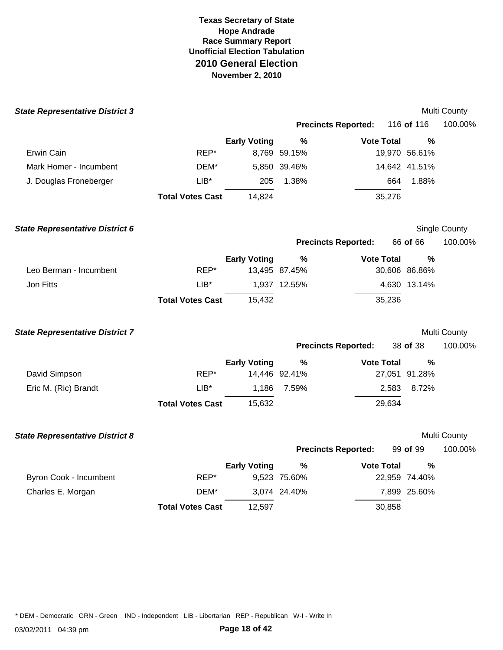| <b>State Representative District 3</b> |                         |                     |               |                            |               | Multi County  |
|----------------------------------------|-------------------------|---------------------|---------------|----------------------------|---------------|---------------|
|                                        |                         |                     |               | <b>Precincts Reported:</b> | 116 of 116    | 100.00%       |
|                                        |                         | <b>Early Voting</b> | %             | <b>Vote Total</b>          | $\frac{0}{0}$ |               |
| Erwin Cain                             | REP*                    |                     | 8,769 59.15%  |                            | 19,970 56.61% |               |
| Mark Homer - Incumbent                 | DEM*                    |                     | 5,850 39.46%  |                            | 14,642 41.51% |               |
| J. Douglas Froneberger                 | $LIB*$                  | 205                 | 1.38%         | 664                        | 1.88%         |               |
|                                        | <b>Total Votes Cast</b> | 14,824              |               | 35,276                     |               |               |
| <b>State Representative District 6</b> |                         |                     |               |                            |               | Single County |
|                                        |                         |                     |               | <b>Precincts Reported:</b> | 66 of 66      | 100.00%       |
|                                        |                         | <b>Early Voting</b> | $\%$          | <b>Vote Total</b>          | $\frac{0}{0}$ |               |
| Leo Berman - Incumbent                 | REP*                    |                     | 13,495 87.45% |                            | 30,606 86.86% |               |
| Jon Fitts                              | $LIB^*$                 |                     | 1,937 12.55%  |                            | 4,630 13.14%  |               |
|                                        | <b>Total Votes Cast</b> | 15,432              |               | 35,236                     |               |               |
| <b>State Representative District 7</b> |                         |                     |               |                            |               | Multi County  |
|                                        |                         |                     |               | <b>Precincts Reported:</b> | 38 of 38      | 100.00%       |
|                                        |                         | <b>Early Voting</b> | $\%$          | <b>Vote Total</b>          | $\%$          |               |
| David Simpson                          | REP*                    |                     | 14,446 92.41% |                            | 27,051 91.28% |               |
| Eric M. (Ric) Brandt                   | $LIB*$                  | 1,186               | 7.59%         | 2,583                      | 8.72%         |               |
|                                        | <b>Total Votes Cast</b> | 15,632              |               | 29,634                     |               |               |
| <b>State Representative District 8</b> |                         |                     |               |                            |               | Multi County  |
|                                        |                         |                     |               | <b>Precincts Reported:</b> | 99 of 99      | 100.00%       |
|                                        |                         | <b>Early Voting</b> | %             | <b>Vote Total</b>          | %             |               |
| Byron Cook - Incumbent                 | REP*                    |                     | 9,523 75.60%  |                            | 22,959 74.40% |               |
| Charles E. Morgan                      | DEM*                    |                     | 3,074 24.40%  |                            | 7,899 25.60%  |               |
|                                        | <b>Total Votes Cast</b> | 12,597              |               | 30,858                     |               |               |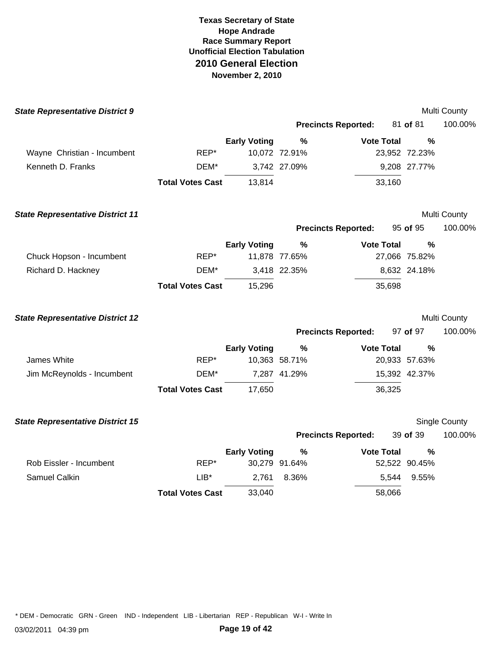| <b>State Representative District 9</b>  |                         |                     |               |                            |               | Multi County  |
|-----------------------------------------|-------------------------|---------------------|---------------|----------------------------|---------------|---------------|
|                                         |                         |                     |               | <b>Precincts Reported:</b> | 81 of 81      | 100.00%       |
|                                         |                         | <b>Early Voting</b> | $\%$          | <b>Vote Total</b>          | %             |               |
| Wayne Christian - Incumbent             | REP*                    |                     | 10,072 72.91% |                            | 23,952 72.23% |               |
| Kenneth D. Franks                       | DEM*                    |                     | 3,742 27.09%  |                            | 9,208 27.77%  |               |
|                                         | <b>Total Votes Cast</b> | 13,814              |               | 33,160                     |               |               |
| <b>State Representative District 11</b> |                         |                     |               |                            |               | Multi County  |
|                                         |                         |                     |               | <b>Precincts Reported:</b> | 95 of 95      | 100.00%       |
|                                         |                         | <b>Early Voting</b> | $\frac{0}{0}$ | <b>Vote Total</b>          | $\frac{0}{0}$ |               |
| Chuck Hopson - Incumbent                | REP*                    |                     | 11,878 77.65% |                            | 27,066 75.82% |               |
| Richard D. Hackney                      | DEM*                    |                     | 3,418 22.35%  |                            | 8,632 24.18%  |               |
|                                         | <b>Total Votes Cast</b> | 15,296              |               | 35,698                     |               |               |
| <b>State Representative District 12</b> |                         |                     |               |                            |               | Multi County  |
|                                         |                         |                     |               | <b>Precincts Reported:</b> | 97 of 97      | 100.00%       |
|                                         |                         | <b>Early Voting</b> | $\%$          | <b>Vote Total</b>          | %             |               |
| James White                             | REP*                    |                     | 10,363 58.71% |                            | 20,933 57.63% |               |
| Jim McReynolds - Incumbent              | DEM*                    |                     | 7,287 41.29%  |                            | 15,392 42.37% |               |
|                                         | <b>Total Votes Cast</b> | 17,650              |               | 36,325                     |               |               |
| <b>State Representative District 15</b> |                         |                     |               |                            |               | Single County |
|                                         |                         |                     |               | <b>Precincts Reported:</b> | 39 of 39      | 100.00%       |
|                                         |                         | <b>Early Voting</b> | %             | <b>Vote Total</b>          | $\frac{0}{0}$ |               |
| Rob Eissler - Incumbent                 | REP*                    |                     | 30,279 91.64% |                            | 52,522 90.45% |               |
| Samuel Calkin                           | $LIB*$                  | 2,761               | 8.36%         | 5,544                      | 9.55%         |               |
|                                         | <b>Total Votes Cast</b> | 33,040              |               | 58,066                     |               |               |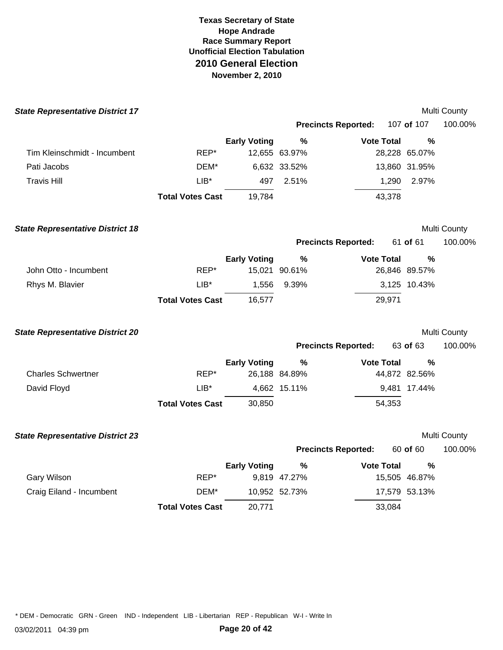| <b>State Representative District 17</b> |                         |                     |               |                            |               | Multi County        |
|-----------------------------------------|-------------------------|---------------------|---------------|----------------------------|---------------|---------------------|
|                                         |                         |                     |               | <b>Precincts Reported:</b> | 107 of 107    | 100.00%             |
|                                         |                         | <b>Early Voting</b> | $\%$          | <b>Vote Total</b>          | %             |                     |
| Tim Kleinschmidt - Incumbent            | REP*                    |                     | 12,655 63.97% |                            | 28,228 65.07% |                     |
| Pati Jacobs                             | DEM*                    |                     | 6,632 33.52%  |                            | 13,860 31.95% |                     |
| <b>Travis Hill</b>                      | $LIB*$                  | 497                 | 2.51%         | 1,290                      | 2.97%         |                     |
|                                         | <b>Total Votes Cast</b> | 19,784              |               | 43,378                     |               |                     |
| <b>State Representative District 18</b> |                         |                     |               |                            |               | Multi County        |
|                                         |                         |                     |               | <b>Precincts Reported:</b> | 61 of 61      | 100.00%             |
|                                         |                         | <b>Early Voting</b> | $\%$          | <b>Vote Total</b>          | %             |                     |
| John Otto - Incumbent                   | REP*                    |                     | 15,021 90.61% |                            | 26,846 89.57% |                     |
| Rhys M. Blavier                         | $LIB*$                  | 1,556               | 9.39%         |                            | 3,125 10.43%  |                     |
|                                         | <b>Total Votes Cast</b> | 16,577              |               | 29,971                     |               |                     |
| <b>State Representative District 20</b> |                         |                     |               |                            |               | <b>Multi County</b> |
|                                         |                         |                     |               | <b>Precincts Reported:</b> | 63 of 63      | 100.00%             |
|                                         |                         | <b>Early Voting</b> | $\%$          | <b>Vote Total</b>          | %             |                     |
| <b>Charles Schwertner</b>               | REP*                    |                     | 26,188 84.89% |                            | 44,872 82.56% |                     |
| David Floyd                             | $LIB*$                  |                     | 4,662 15.11%  |                            | 9,481 17.44%  |                     |
|                                         | <b>Total Votes Cast</b> | 30,850              |               | 54,353                     |               |                     |
| <b>State Representative District 23</b> |                         |                     |               |                            |               | Multi County        |
|                                         |                         |                     |               | <b>Precincts Reported:</b> | 60 of 60      | 100.00%             |
|                                         |                         | <b>Early Voting</b> | $\frac{9}{6}$ | <b>Vote Total</b>          | %             |                     |
| Gary Wilson                             | REP*                    |                     | 9,819 47.27%  |                            | 15,505 46.87% |                     |
| Craig Eiland - Incumbent                | DEM*                    |                     | 10,952 52.73% |                            | 17,579 53.13% |                     |
|                                         | <b>Total Votes Cast</b> | 20,771              |               | 33,084                     |               |                     |
|                                         |                         |                     |               |                            |               |                     |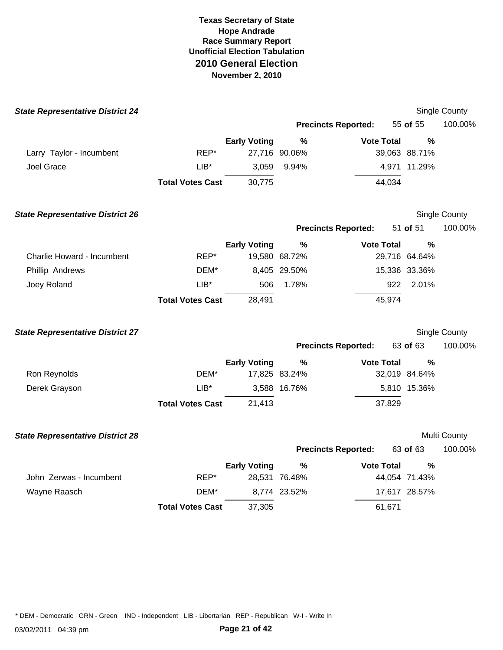| <b>State Representative District 24</b> |                         |                     |                       |                            |                       | Single County |
|-----------------------------------------|-------------------------|---------------------|-----------------------|----------------------------|-----------------------|---------------|
|                                         |                         |                     |                       | <b>Precincts Reported:</b> | 55 of 55              | 100.00%       |
|                                         |                         | <b>Early Voting</b> | $\%$                  | <b>Vote Total</b>          | $\frac{0}{0}$         |               |
| Larry Taylor - Incumbent                | REP*                    |                     | 27,716 90.06%         |                            | 39,063 88.71%         |               |
| Joel Grace                              | $LIB*$                  | 3,059               | 9.94%                 |                            | 4,971 11.29%          |               |
|                                         | <b>Total Votes Cast</b> | 30,775              |                       | 44,034                     |                       |               |
| <b>State Representative District 26</b> |                         |                     |                       |                            |                       | Single County |
|                                         |                         |                     |                       | <b>Precincts Reported:</b> | 51 of 51              | 100.00%       |
| Charlie Howard - Incumbent              | REP*                    | <b>Early Voting</b> | $\%$<br>19,580 68.72% | <b>Vote Total</b>          | $\%$<br>29,716 64.64% |               |
| Phillip Andrews                         | DEM*                    |                     | 8,405 29.50%          |                            | 15,336 33.36%         |               |
| Joey Roland                             | $LIB*$                  | 506                 | 1.78%                 | 922                        | 2.01%                 |               |
|                                         | <b>Total Votes Cast</b> | 28,491              |                       | 45,974                     |                       |               |
| <b>State Representative District 27</b> |                         |                     |                       |                            |                       | Single County |
|                                         |                         |                     |                       | <b>Precincts Reported:</b> | 63 of 63              | 100.00%       |
|                                         |                         | <b>Early Voting</b> | $\%$                  | <b>Vote Total</b>          | $\frac{0}{0}$         |               |
| Ron Reynolds                            | DEM*                    |                     | 17,825 83.24%         |                            | 32,019 84.64%         |               |
| Derek Grayson                           | $LIB*$                  |                     | 3,588 16.76%          |                            | 5,810 15.36%          |               |
|                                         | <b>Total Votes Cast</b> | 21,413              |                       | 37,829                     |                       |               |
| <b>State Representative District 28</b> |                         |                     |                       |                            |                       | Multi County  |
|                                         |                         |                     |                       | <b>Precincts Reported:</b> | 63 of 63              | 100.00%       |
|                                         |                         | <b>Early Voting</b> | %                     | <b>Vote Total</b>          | $\%$                  |               |
| John Zerwas - Incumbent                 | REP*                    |                     | 28,531 76.48%         |                            | 44,054 71.43%         |               |
| Wayne Raasch                            | DEM*                    |                     | 8,774 23.52%          |                            | 17,617 28.57%         |               |
|                                         | <b>Total Votes Cast</b> | 37,305              |                       | 61,671                     |                       |               |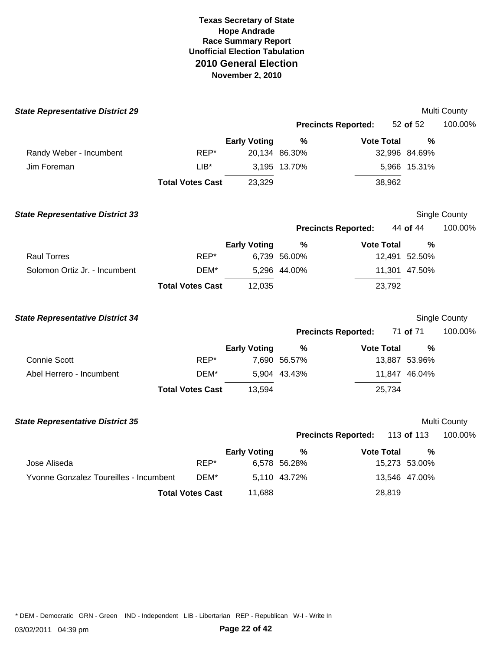| <b>State Representative District 29</b> |                         |                     |               |                            |               | Multi County  |
|-----------------------------------------|-------------------------|---------------------|---------------|----------------------------|---------------|---------------|
|                                         |                         |                     |               | <b>Precincts Reported:</b> | 52 of 52      | 100.00%       |
|                                         |                         | <b>Early Voting</b> | $\frac{0}{0}$ | <b>Vote Total</b>          | $\frac{0}{0}$ |               |
| Randy Weber - Incumbent                 | REP*                    |                     | 20,134 86.30% |                            | 32,996 84.69% |               |
| Jim Foreman                             | $LIB*$                  |                     | 3,195 13.70%  |                            | 5,966 15.31%  |               |
|                                         | <b>Total Votes Cast</b> | 23,329              |               | 38,962                     |               |               |
| <b>State Representative District 33</b> |                         |                     |               |                            |               | Single County |
|                                         |                         |                     |               | <b>Precincts Reported:</b> | 44 of 44      | 100.00%       |
|                                         |                         | <b>Early Voting</b> | %             | <b>Vote Total</b>          | $\%$          |               |
| <b>Raul Torres</b>                      | REP*                    |                     | 6,739 56.00%  |                            | 12,491 52.50% |               |
| Solomon Ortiz Jr. - Incumbent           | DEM*                    |                     | 5,296 44.00%  |                            | 11,301 47.50% |               |
|                                         | <b>Total Votes Cast</b> | 12,035              |               | 23,792                     |               |               |
| <b>State Representative District 34</b> |                         |                     |               |                            |               | Single County |
|                                         |                         |                     |               | <b>Precincts Reported:</b> | 71 of 71      | 100.00%       |
|                                         |                         | <b>Early Voting</b> | $\%$          | <b>Vote Total</b>          | %             |               |
| <b>Connie Scott</b>                     | REP*                    |                     | 7,690 56.57%  |                            | 13,887 53.96% |               |
| Abel Herrero - Incumbent                | DEM*                    |                     | 5,904 43.43%  |                            | 11,847 46.04% |               |
|                                         | <b>Total Votes Cast</b> | 13,594              |               | 25,734                     |               |               |
| <b>State Representative District 35</b> |                         |                     |               |                            |               | Multi County  |
|                                         |                         |                     |               | <b>Precincts Reported:</b> | 113 of 113    | 100.00%       |
|                                         |                         | <b>Early Voting</b> | %             | <b>Vote Total</b>          | $\%$          |               |
| Jose Aliseda                            | REP*                    |                     | 6,578 56.28%  |                            | 15,273 53.00% |               |
| Yvonne Gonzalez Toureilles - Incumbent  | DEM*                    |                     | 5,110 43.72%  |                            | 13,546 47.00% |               |
|                                         | <b>Total Votes Cast</b> | 11,688              |               | 28,819                     |               |               |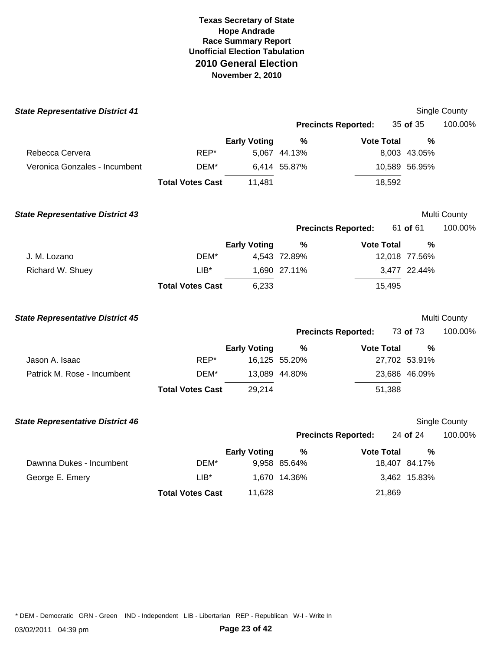| <b>State Representative District 41</b> |                         |                     |               |                            |               | Single County |
|-----------------------------------------|-------------------------|---------------------|---------------|----------------------------|---------------|---------------|
|                                         |                         |                     |               | <b>Precincts Reported:</b> | 35 of 35      | 100.00%       |
|                                         |                         | <b>Early Voting</b> | %             | <b>Vote Total</b>          | $\frac{0}{0}$ |               |
| Rebecca Cervera                         | REP*                    |                     | 5,067 44.13%  |                            | 8,003 43.05%  |               |
| Veronica Gonzales - Incumbent           | DEM*                    |                     | 6,414 55.87%  |                            | 10,589 56.95% |               |
|                                         | <b>Total Votes Cast</b> | 11,481              |               | 18,592                     |               |               |
| <b>State Representative District 43</b> |                         |                     |               |                            |               | Multi County  |
|                                         |                         |                     |               | <b>Precincts Reported:</b> | 61 of 61      | 100.00%       |
|                                         |                         | <b>Early Voting</b> | %             | <b>Vote Total</b>          | %             |               |
| J. M. Lozano                            | DEM*                    |                     | 4,543 72.89%  |                            | 12,018 77.56% |               |
| Richard W. Shuey                        | $LIB*$                  |                     | 1,690 27.11%  |                            | 3,477 22.44%  |               |
|                                         | <b>Total Votes Cast</b> | 6,233               |               | 15,495                     |               |               |
| <b>State Representative District 45</b> |                         |                     |               |                            |               | Multi County  |
|                                         |                         |                     |               | <b>Precincts Reported:</b> | 73 of 73      | 100.00%       |
|                                         |                         | <b>Early Voting</b> | $\%$          | <b>Vote Total</b>          | %             |               |
| Jason A. Isaac                          | REP*                    |                     | 16,125 55.20% |                            | 27,702 53.91% |               |
| Patrick M. Rose - Incumbent             | DEM*                    |                     | 13,089 44.80% |                            | 23,686 46.09% |               |
|                                         | <b>Total Votes Cast</b> | 29,214              |               | 51,388                     |               |               |
| <b>State Representative District 46</b> |                         |                     |               |                            |               | Single County |
|                                         |                         |                     |               | <b>Precincts Reported:</b> | 24 of 24      | 100.00%       |
|                                         |                         | <b>Early Voting</b> | $\%$          | <b>Vote Total</b>          | $\frac{0}{0}$ |               |
| Dawnna Dukes - Incumbent                | DEM*                    |                     | 9,958 85.64%  |                            | 18,407 84.17% |               |
| George E. Emery                         | $LIB*$                  |                     | 1,670 14.36%  |                            | 3,462 15.83%  |               |
|                                         | <b>Total Votes Cast</b> | 11,628              |               | 21,869                     |               |               |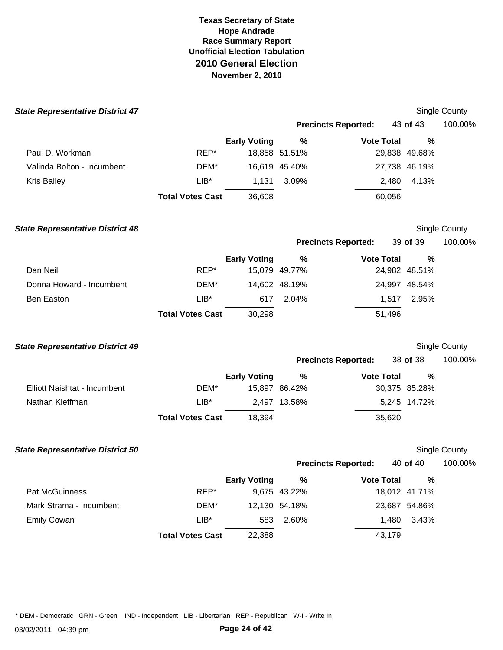| <b>State Representative District 47</b> |                         |                     |               |                            |               | Single County        |
|-----------------------------------------|-------------------------|---------------------|---------------|----------------------------|---------------|----------------------|
|                                         |                         |                     |               | <b>Precincts Reported:</b> | 43 of 43      | 100.00%              |
|                                         |                         | <b>Early Voting</b> | $\%$          | <b>Vote Total</b>          | %             |                      |
| Paul D. Workman                         | REP*                    |                     | 18,858 51.51% |                            | 29,838 49.68% |                      |
| Valinda Bolton - Incumbent              | DEM*                    |                     | 16,619 45.40% |                            | 27,738 46.19% |                      |
| <b>Kris Bailey</b>                      | $LIB*$                  | 1,131               | 3.09%         | 2,480                      | 4.13%         |                      |
|                                         | <b>Total Votes Cast</b> | 36,608              |               | 60,056                     |               |                      |
| <b>State Representative District 48</b> |                         |                     |               |                            |               | Single County        |
|                                         |                         |                     |               | <b>Precincts Reported:</b> | 39 of 39      | 100.00%              |
|                                         |                         | <b>Early Voting</b> | $\%$          | <b>Vote Total</b>          | %             |                      |
| Dan Neil                                | REP*                    |                     | 15,079 49.77% |                            | 24,982 48.51% |                      |
| Donna Howard - Incumbent                | DEM*                    |                     | 14,602 48.19% |                            | 24,997 48.54% |                      |
| Ben Easton                              | $LIB^*$                 | 617                 | 2.04%         | 1,517                      | 2.95%         |                      |
|                                         | <b>Total Votes Cast</b> | 30,298              |               | 51,496                     |               |                      |
| <b>State Representative District 49</b> |                         |                     |               |                            |               | Single County        |
|                                         |                         |                     |               | <b>Precincts Reported:</b> | 38 of 38      | 100.00%              |
|                                         |                         | <b>Early Voting</b> | $\%$          | <b>Vote Total</b>          | %             |                      |
| Elliott Naishtat - Incumbent            | DEM*                    |                     | 15,897 86.42% |                            | 30,375 85.28% |                      |
| Nathan Kleffman                         | $LIB^*$                 |                     | 2,497 13.58%  |                            | 5,245 14.72%  |                      |
|                                         | <b>Total Votes Cast</b> | 18,394              |               | 35,620                     |               |                      |
| <b>State Representative District 50</b> |                         |                     |               |                            |               | <b>Single County</b> |
|                                         |                         |                     |               | <b>Precincts Reported:</b> | 40 of 40      | 100.00%              |
|                                         |                         | <b>Early Voting</b> | $\%$          | <b>Vote Total</b>          | %             |                      |
| Pat McGuinness                          | REP*                    |                     | 9,675 43.22%  |                            | 18,012 41.71% |                      |
| Mark Strama - Incumbent                 | DEM*                    |                     | 12,130 54.18% |                            | 23,687 54.86% |                      |
| <b>Emily Cowan</b>                      | $LIB*$                  | 583                 | 2.60%         | 1,480                      | 3.43%         |                      |
|                                         | <b>Total Votes Cast</b> | 22,388              |               | 43,179                     |               |                      |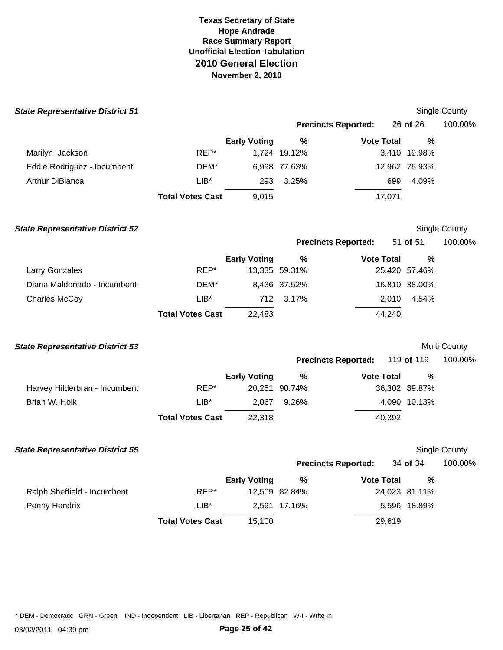| <b>State Representative District 51</b> |                         |                     |               |                            |               | Single County       |
|-----------------------------------------|-------------------------|---------------------|---------------|----------------------------|---------------|---------------------|
|                                         |                         |                     |               | <b>Precincts Reported:</b> | 26 of 26      | 100.00%             |
|                                         |                         | <b>Early Voting</b> | $\frac{0}{0}$ | <b>Vote Total</b>          | %             |                     |
| Marilyn Jackson                         | REP*                    |                     | 1,724 19.12%  |                            | 3,410 19.98%  |                     |
| Eddie Rodriguez - Incumbent             | DEM*                    |                     | 6,998 77.63%  |                            | 12,962 75.93% |                     |
| Arthur DiBianca                         | $LIB*$                  | 293                 | 3.25%         | 699                        | 4.09%         |                     |
|                                         | <b>Total Votes Cast</b> | 9,015               |               | 17,071                     |               |                     |
| <b>State Representative District 52</b> |                         |                     |               |                            |               | Single County       |
|                                         |                         |                     |               | <b>Precincts Reported:</b> | 51 of 51      | 100.00%             |
|                                         |                         | <b>Early Voting</b> | $\%$          | <b>Vote Total</b>          | %             |                     |
| Larry Gonzales                          | REP*                    |                     | 13,335 59.31% |                            | 25,420 57.46% |                     |
| Diana Maldonado - Incumbent             | DEM*                    |                     | 8,436 37.52%  |                            | 16,810 38.00% |                     |
| <b>Charles McCoy</b>                    | $LIB*$                  | 712                 | 3.17%         | 2,010                      | 4.54%         |                     |
|                                         | <b>Total Votes Cast</b> | 22,483              |               | 44,240                     |               |                     |
| <b>State Representative District 53</b> |                         |                     |               |                            |               | <b>Multi County</b> |
|                                         |                         |                     |               | <b>Precincts Reported:</b> | 119 of 119    | 100.00%             |
|                                         |                         | <b>Early Voting</b> | $\frac{0}{0}$ | <b>Vote Total</b>          | %             |                     |
| Harvey Hilderbran - Incumbent           | REP*                    |                     | 20,251 90.74% |                            | 36,302 89.87% |                     |
| Brian W. Holk                           | $LIB^*$                 | 2,067               | 9.26%         |                            | 4,090 10.13%  |                     |
|                                         | <b>Total Votes Cast</b> | 22,318              |               | 40,392                     |               |                     |
| <b>State Representative District 55</b> |                         |                     |               |                            |               | Single County       |
|                                         |                         |                     |               | <b>Precincts Reported:</b> | 34 of 34      | 100.00%             |
|                                         |                         | <b>Early Voting</b> | $\%$          | <b>Vote Total</b>          | $\frac{0}{0}$ |                     |
| Ralph Sheffield - Incumbent             | REP*                    |                     | 12,509 82.84% |                            | 24,023 81.11% |                     |
| Penny Hendrix                           | $LIB^*$                 |                     | 2,591 17.16%  |                            | 5,596 18.89%  |                     |
|                                         | <b>Total Votes Cast</b> | 15,100              |               | 29,619                     |               |                     |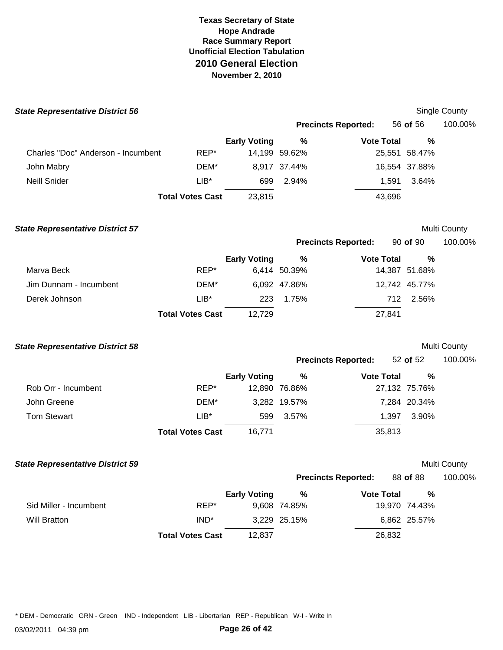| <b>State Representative District 56</b> |                         |                     |               |                            |               | <b>Single County</b> |
|-----------------------------------------|-------------------------|---------------------|---------------|----------------------------|---------------|----------------------|
|                                         |                         |                     |               | <b>Precincts Reported:</b> | 56 of 56      | 100.00%              |
|                                         |                         | <b>Early Voting</b> | $\%$          | <b>Vote Total</b>          | %             |                      |
| Charles "Doc" Anderson - Incumbent      | REP*                    |                     | 14,199 59.62% |                            | 25,551 58.47% |                      |
| John Mabry                              | DEM*                    |                     | 8,917 37.44%  |                            | 16,554 37.88% |                      |
| <b>Neill Snider</b>                     | $LIB*$                  | 699                 | 2.94%         | 1,591                      | 3.64%         |                      |
|                                         | <b>Total Votes Cast</b> | 23,815              |               | 43,696                     |               |                      |
| <b>State Representative District 57</b> |                         |                     |               |                            |               | Multi County         |
|                                         |                         |                     |               | <b>Precincts Reported:</b> | 90 of 90      | 100.00%              |
|                                         |                         | <b>Early Voting</b> | %             | <b>Vote Total</b>          | %             |                      |
| Marva Beck                              | REP*                    |                     | 6,414 50.39%  |                            | 14,387 51.68% |                      |
| Jim Dunnam - Incumbent                  | DEM*                    |                     | 6,092 47.86%  |                            | 12,742 45.77% |                      |
| Derek Johnson                           | $LIB^*$                 | 223                 | 1.75%         | 712                        | 2.56%         |                      |
|                                         | <b>Total Votes Cast</b> | 12,729              |               | 27,841                     |               |                      |
| <b>State Representative District 58</b> |                         |                     |               |                            |               | Multi County         |
|                                         |                         |                     |               | <b>Precincts Reported:</b> | 52 of 52      | 100.00%              |
|                                         |                         | <b>Early Voting</b> | %             | <b>Vote Total</b>          | %             |                      |
| Rob Orr - Incumbent                     | REP*                    |                     | 12,890 76.86% |                            | 27,132 75.76% |                      |
| John Greene                             | DEM*                    |                     | 3,282 19.57%  |                            | 7,284 20.34%  |                      |
| <b>Tom Stewart</b>                      | $LIB^*$                 | 599                 | 3.57%         | 1,397                      | 3.90%         |                      |
|                                         | <b>Total Votes Cast</b> | 16,771              |               | 35,813                     |               |                      |
| <b>State Representative District 59</b> |                         |                     |               |                            |               | Multi County         |
|                                         |                         |                     |               | <b>Precincts Reported:</b> | 88 of 88      | 100.00%              |
|                                         |                         | <b>Early Voting</b> | %             | <b>Vote Total</b>          | $\%$          |                      |
| Sid Miller - Incumbent                  | REP*                    |                     | 9,608 74.85%  |                            | 19,970 74.43% |                      |
| <b>Will Bratton</b>                     | $IND^*$                 |                     | 3,229 25.15%  |                            | 6,862 25.57%  |                      |
|                                         | <b>Total Votes Cast</b> | 12,837              |               | 26,832                     |               |                      |
|                                         |                         |                     |               |                            |               |                      |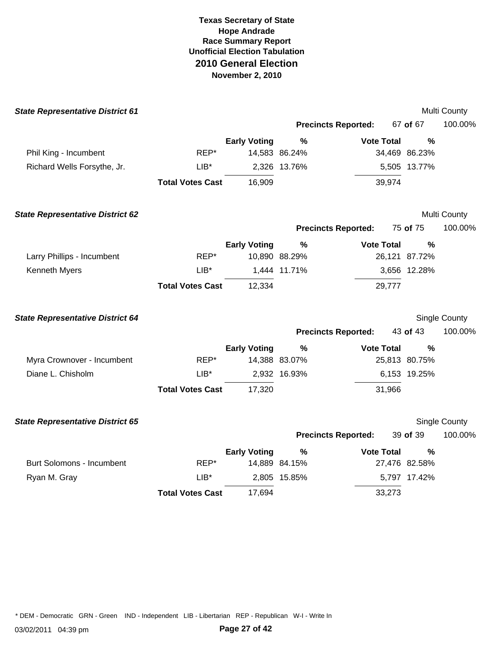| <b>State Representative District 61</b> |                         |                     |               |                            |               | Multi County  |
|-----------------------------------------|-------------------------|---------------------|---------------|----------------------------|---------------|---------------|
|                                         |                         |                     |               | <b>Precincts Reported:</b> | 67 of 67      | 100.00%       |
|                                         |                         | <b>Early Voting</b> | %             | <b>Vote Total</b>          | %             |               |
| Phil King - Incumbent                   | REP*                    |                     | 14,583 86.24% |                            | 34,469 86.23% |               |
| Richard Wells Forsythe, Jr.             | $LIB*$                  |                     | 2,326 13.76%  |                            | 5,505 13.77%  |               |
|                                         | <b>Total Votes Cast</b> | 16,909              |               | 39,974                     |               |               |
| <b>State Representative District 62</b> |                         |                     |               |                            |               | Multi County  |
|                                         |                         |                     |               | <b>Precincts Reported:</b> | 75 of 75      | 100.00%       |
|                                         |                         | <b>Early Voting</b> | %             | <b>Vote Total</b>          | $\frac{0}{0}$ |               |
| Larry Phillips - Incumbent              | REP*                    |                     | 10,890 88.29% |                            | 26,121 87.72% |               |
| Kenneth Myers                           | $LIB^*$                 |                     | 1,444 11.71%  |                            | 3,656 12.28%  |               |
|                                         | <b>Total Votes Cast</b> | 12,334              |               | 29,777                     |               |               |
| <b>State Representative District 64</b> |                         |                     |               |                            |               | Single County |
|                                         |                         |                     |               | <b>Precincts Reported:</b> | 43 of 43      | 100.00%       |
|                                         |                         | <b>Early Voting</b> | %             | <b>Vote Total</b>          | $\frac{0}{0}$ |               |
| Myra Crownover - Incumbent              | REP*                    |                     | 14,388 83.07% |                            | 25,813 80.75% |               |
| Diane L. Chisholm                       | $LIB*$                  |                     | 2,932 16.93%  |                            | 6,153 19.25%  |               |
|                                         | <b>Total Votes Cast</b> | 17,320              |               | 31,966                     |               |               |
| <b>State Representative District 65</b> |                         |                     |               |                            |               | Single County |
|                                         |                         |                     |               | <b>Precincts Reported:</b> | 39 of 39      | 100.00%       |
|                                         |                         | <b>Early Voting</b> | %             | <b>Vote Total</b>          | $\frac{0}{0}$ |               |
| <b>Burt Solomons - Incumbent</b>        | REP*                    |                     | 14,889 84.15% |                            | 27,476 82.58% |               |
| Ryan M. Gray                            | $LIB*$                  |                     | 2,805 15.85%  |                            | 5,797 17.42%  |               |
|                                         | <b>Total Votes Cast</b> | 17,694              |               | 33,273                     |               |               |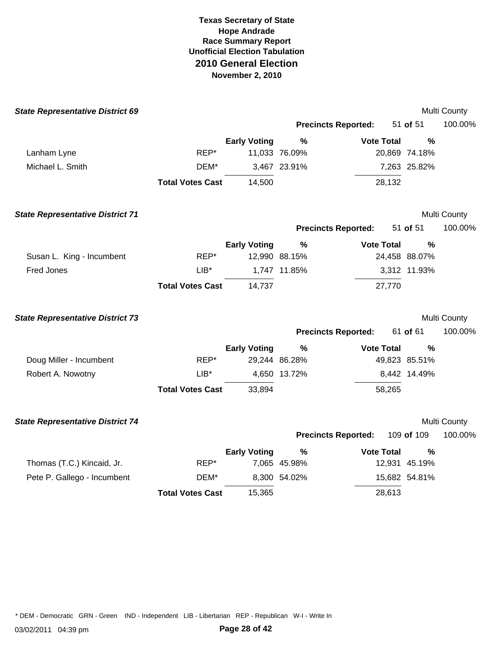| <b>State Representative District 69</b> |                         |                     |               |                            |               | Multi County |
|-----------------------------------------|-------------------------|---------------------|---------------|----------------------------|---------------|--------------|
|                                         |                         |                     |               | <b>Precincts Reported:</b> | 51 of 51      | 100.00%      |
|                                         |                         | <b>Early Voting</b> | %             | <b>Vote Total</b>          | $\frac{0}{0}$ |              |
| Lanham Lyne                             | REP*                    |                     | 11,033 76.09% |                            | 20,869 74.18% |              |
| Michael L. Smith                        | DEM*                    |                     | 3,467 23.91%  |                            | 7,263 25.82%  |              |
|                                         | <b>Total Votes Cast</b> | 14,500              |               | 28,132                     |               |              |
| <b>State Representative District 71</b> |                         |                     |               |                            |               | Multi County |
|                                         |                         |                     |               | <b>Precincts Reported:</b> | 51 of 51      | 100.00%      |
|                                         |                         | <b>Early Voting</b> | %             | <b>Vote Total</b>          | $\frac{0}{0}$ |              |
| Susan L. King - Incumbent               | REP*                    |                     | 12,990 88.15% |                            | 24,458 88.07% |              |
| Fred Jones                              | $LIB*$                  |                     | 1,747 11.85%  |                            | 3,312 11.93%  |              |
|                                         | <b>Total Votes Cast</b> | 14,737              |               | 27,770                     |               |              |
| <b>State Representative District 73</b> |                         |                     |               |                            |               | Multi County |
|                                         |                         |                     |               | <b>Precincts Reported:</b> | 61 of 61      | 100.00%      |
|                                         |                         | <b>Early Voting</b> | %             | <b>Vote Total</b>          | %             |              |
| Doug Miller - Incumbent                 | REP*                    |                     | 29,244 86.28% |                            | 49,823 85.51% |              |
| Robert A. Nowotny                       | $LIB*$                  |                     | 4,650 13.72%  |                            | 8,442 14.49%  |              |
|                                         | <b>Total Votes Cast</b> | 33,894              |               | 58,265                     |               |              |
| <b>State Representative District 74</b> |                         |                     |               |                            |               | Multi County |
|                                         |                         |                     |               | <b>Precincts Reported:</b> | 109 of 109    | 100.00%      |
|                                         |                         | <b>Early Voting</b> | %             | <b>Vote Total</b>          | $\%$          |              |
| Thomas (T.C.) Kincaid, Jr.              | REP*                    |                     | 7,065 45.98%  |                            | 12,931 45.19% |              |
| Pete P. Gallego - Incumbent             | DEM*                    |                     | 8,300 54.02%  |                            | 15,682 54.81% |              |
|                                         | <b>Total Votes Cast</b> | 15,365              |               | 28,613                     |               |              |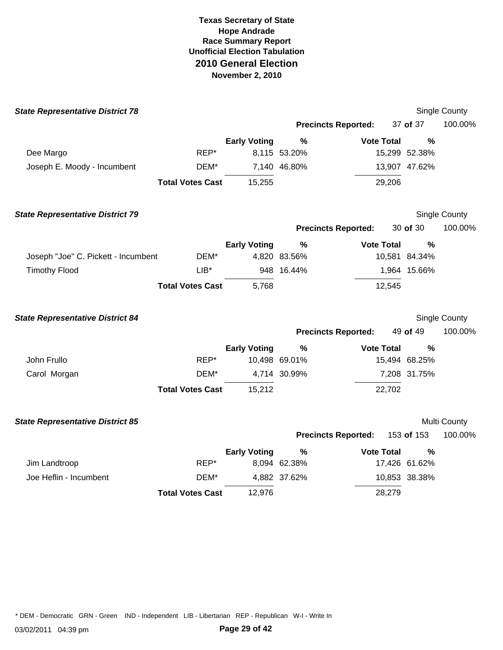| <b>State Representative District 78</b> |                         |                     |               |                            |               | Single County |
|-----------------------------------------|-------------------------|---------------------|---------------|----------------------------|---------------|---------------|
|                                         |                         |                     |               | <b>Precincts Reported:</b> | 37 of 37      | 100.00%       |
|                                         |                         | <b>Early Voting</b> | $\%$          | <b>Vote Total</b>          | $\frac{0}{0}$ |               |
| Dee Margo                               | REP*                    |                     | 8,115 53.20%  |                            | 15,299 52.38% |               |
| Joseph E. Moody - Incumbent             | DEM*                    |                     | 7,140 46.80%  |                            | 13,907 47.62% |               |
|                                         | <b>Total Votes Cast</b> | 15,255              |               | 29,206                     |               |               |
| <b>State Representative District 79</b> |                         |                     |               |                            |               | Single County |
|                                         |                         |                     |               | <b>Precincts Reported:</b> | 30 of 30      | 100.00%       |
|                                         |                         | <b>Early Voting</b> | %             | <b>Vote Total</b>          | $\frac{0}{0}$ |               |
| Joseph "Joe" C. Pickett - Incumbent     | DEM*                    |                     | 4,820 83.56%  |                            | 10,581 84.34% |               |
| <b>Timothy Flood</b>                    | $LIB*$                  |                     | 948 16.44%    |                            | 1,964 15.66%  |               |
|                                         | <b>Total Votes Cast</b> | 5,768               |               | 12,545                     |               |               |
| <b>State Representative District 84</b> |                         |                     |               |                            |               | Single County |
|                                         |                         |                     |               | <b>Precincts Reported:</b> | 49 of 49      | 100.00%       |
|                                         |                         | <b>Early Voting</b> | $\frac{9}{6}$ | <b>Vote Total</b>          | %             |               |
| John Frullo                             | REP*                    |                     | 10,498 69.01% |                            | 15,494 68.25% |               |
| Carol Morgan                            | DEM*                    |                     | 4,714 30.99%  |                            | 7,208 31.75%  |               |
|                                         | <b>Total Votes Cast</b> | 15,212              |               | 22,702                     |               |               |
| <b>State Representative District 85</b> |                         |                     |               |                            |               | Multi County  |
|                                         |                         |                     |               | <b>Precincts Reported:</b> | 153 of 153    | 100.00%       |
|                                         |                         | <b>Early Voting</b> | $\frac{9}{6}$ | <b>Vote Total</b>          | %             |               |
| Jim Landtroop                           | REP*                    |                     | 8,094 62.38%  |                            | 17,426 61.62% |               |
| Joe Heflin - Incumbent                  | DEM*                    |                     | 4,882 37.62%  |                            | 10,853 38.38% |               |
|                                         | <b>Total Votes Cast</b> | 12,976              |               | 28,279                     |               |               |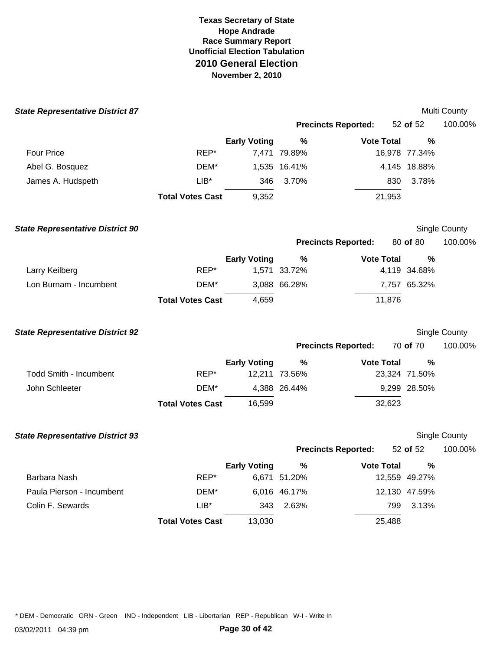| <b>State Representative District 87</b> |                         |                     |               |                            |               | Multi County  |
|-----------------------------------------|-------------------------|---------------------|---------------|----------------------------|---------------|---------------|
|                                         |                         |                     |               | <b>Precincts Reported:</b> | 52 of 52      | 100.00%       |
|                                         |                         | <b>Early Voting</b> | $\%$          | <b>Vote Total</b>          | %             |               |
| <b>Four Price</b>                       | REP*                    |                     | 7,471 79.89%  |                            | 16,978 77.34% |               |
| Abel G. Bosquez                         | DEM*                    |                     | 1,535 16.41%  |                            | 4,145 18.88%  |               |
| James A. Hudspeth                       | $LIB*$                  | 346                 | 3.70%         | 830                        | 3.78%         |               |
|                                         | <b>Total Votes Cast</b> | 9,352               |               | 21,953                     |               |               |
| <b>State Representative District 90</b> |                         |                     |               |                            |               | Single County |
|                                         |                         |                     |               | <b>Precincts Reported:</b> | 80 of 80      | 100.00%       |
|                                         |                         | <b>Early Voting</b> | %             | <b>Vote Total</b>          | %             |               |
| Larry Keilberg                          | REP*                    |                     | 1,571 33.72%  |                            | 4,119 34.68%  |               |
| Lon Burnam - Incumbent                  | DEM*                    |                     | 3,088 66.28%  |                            | 7,757 65.32%  |               |
|                                         | <b>Total Votes Cast</b> | 4,659               |               | 11,876                     |               |               |
| <b>State Representative District 92</b> |                         |                     |               |                            |               | Single County |
|                                         |                         |                     |               | <b>Precincts Reported:</b> | 70 of 70      | 100.00%       |
|                                         |                         | <b>Early Voting</b> | $\%$          | <b>Vote Total</b>          | %             |               |
| <b>Todd Smith - Incumbent</b>           | REP*                    |                     | 12,211 73.56% |                            | 23,324 71.50% |               |
| John Schleeter                          | DEM*                    |                     | 4,388 26.44%  |                            | 9,299 28.50%  |               |
|                                         | <b>Total Votes Cast</b> | 16,599              |               | 32,623                     |               |               |
| <b>State Representative District 93</b> |                         |                     |               |                            |               | Single County |
|                                         |                         |                     |               | <b>Precincts Reported:</b> | 52 of 52      | 100.00%       |
|                                         |                         | <b>Early Voting</b> | ℅             | <b>Vote Total</b>          | %             |               |
| Barbara Nash                            | REP*                    |                     | 6,671 51.20%  |                            | 12,559 49.27% |               |
| Paula Pierson - Incumbent               | DEM*                    |                     | 6,016 46.17%  |                            | 12,130 47.59% |               |
| Colin F. Sewards                        | $LIB^*$                 | 343                 | 2.63%         | 799                        | 3.13%         |               |
|                                         | <b>Total Votes Cast</b> | 13,030              |               | 25,488                     |               |               |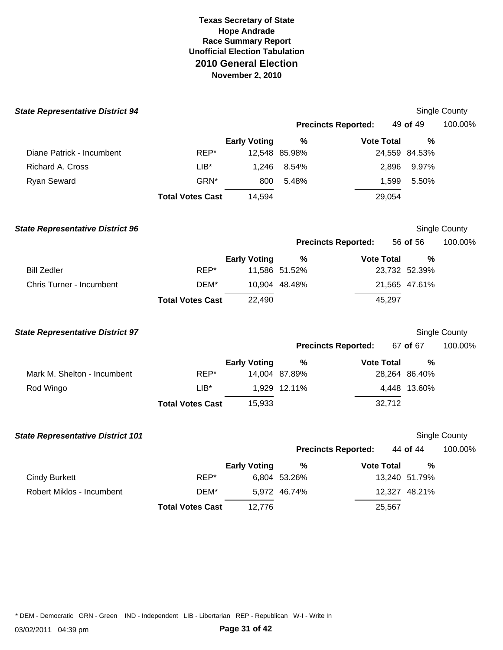| <b>State Representative District 94</b>  |                         |                     |               |                            |               | Single County        |
|------------------------------------------|-------------------------|---------------------|---------------|----------------------------|---------------|----------------------|
|                                          |                         |                     |               | <b>Precincts Reported:</b> | 49 of 49      | 100.00%              |
|                                          |                         | <b>Early Voting</b> | $\frac{9}{6}$ | <b>Vote Total</b>          | $\%$          |                      |
| Diane Patrick - Incumbent                | REP*                    |                     | 12,548 85.98% |                            | 24,559 84.53% |                      |
| Richard A. Cross                         | $LIB*$                  | 1,246               | 8.54%         | 2,896                      | 9.97%         |                      |
| Ryan Seward                              | GRN*                    | 800                 | 5.48%         | 1,599                      | 5.50%         |                      |
|                                          | <b>Total Votes Cast</b> | 14,594              |               | 29,054                     |               |                      |
| <b>State Representative District 96</b>  |                         |                     |               |                            |               | <b>Single County</b> |
|                                          |                         |                     |               | <b>Precincts Reported:</b> | 56 of 56      | 100.00%              |
|                                          |                         | <b>Early Voting</b> | $\frac{9}{6}$ | <b>Vote Total</b>          | $\frac{0}{0}$ |                      |
| <b>Bill Zedler</b>                       | REP*                    |                     | 11,586 51.52% |                            | 23,732 52.39% |                      |
| Chris Turner - Incumbent                 | DEM*                    |                     | 10,904 48.48% |                            | 21,565 47.61% |                      |
|                                          | <b>Total Votes Cast</b> | 22,490              |               | 45,297                     |               |                      |
| <b>State Representative District 97</b>  |                         |                     |               |                            |               | Single County        |
|                                          |                         |                     |               | <b>Precincts Reported:</b> | 67 of 67      | 100.00%              |
|                                          |                         | <b>Early Voting</b> | $\%$          | <b>Vote Total</b>          | %             |                      |
| Mark M. Shelton - Incumbent              | REP*                    |                     | 14,004 87.89% |                            | 28,264 86.40% |                      |
| Rod Wingo                                | $LIB*$                  |                     | 1,929 12.11%  |                            | 4,448 13.60%  |                      |
|                                          | <b>Total Votes Cast</b> | 15,933              |               | 32,712                     |               |                      |
| <b>State Representative District 101</b> |                         |                     |               |                            |               | <b>Single County</b> |
|                                          |                         |                     |               | <b>Precincts Reported:</b> | 44 of 44      | 100.00%              |
|                                          |                         | <b>Early Voting</b> | $\%$          | <b>Vote Total</b>          | ℅             |                      |
| <b>Cindy Burkett</b>                     | REP*                    |                     | 6,804 53.26%  |                            | 13,240 51.79% |                      |
| Robert Miklos - Incumbent                | DEM*                    |                     | 5,972 46.74%  |                            | 12,327 48.21% |                      |
|                                          | <b>Total Votes Cast</b> | 12,776              |               | 25,567                     |               |                      |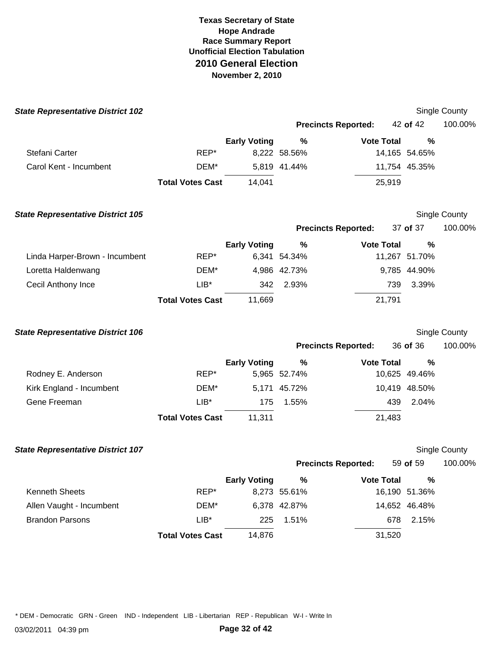| <b>State Representative District 102</b> |                         |                     |              |                            |               | Single County        |
|------------------------------------------|-------------------------|---------------------|--------------|----------------------------|---------------|----------------------|
|                                          |                         |                     |              | <b>Precincts Reported:</b> | 42 of 42      | 100.00%              |
|                                          |                         | <b>Early Voting</b> | %            | <b>Vote Total</b>          | %             |                      |
| Stefani Carter                           | REP*                    |                     | 8,222 58.56% |                            | 14,165 54.65% |                      |
| Carol Kent - Incumbent                   | DEM*                    |                     | 5,819 41.44% |                            | 11,754 45.35% |                      |
|                                          | <b>Total Votes Cast</b> | 14,041              |              | 25,919                     |               |                      |
| <b>State Representative District 105</b> |                         |                     |              |                            |               | <b>Single County</b> |
|                                          |                         |                     |              | <b>Precincts Reported:</b> | 37 of 37      | 100.00%              |
|                                          |                         | <b>Early Voting</b> | $\%$         | <b>Vote Total</b>          | $\%$          |                      |
| Linda Harper-Brown - Incumbent           | REP*                    |                     | 6,341 54.34% |                            | 11,267 51.70% |                      |
| Loretta Haldenwang                       | DEM*                    |                     | 4,986 42.73% |                            | 9,785 44.90%  |                      |
| Cecil Anthony Ince                       | $LIB*$                  | 342                 | 2.93%        | 739                        | 3.39%         |                      |
|                                          | <b>Total Votes Cast</b> | 11,669              |              | 21,791                     |               |                      |
| <b>State Representative District 106</b> |                         |                     |              |                            |               | <b>Single County</b> |
|                                          |                         |                     |              | <b>Precincts Reported:</b> | 36 of 36      | 100.00%              |
|                                          |                         | <b>Early Voting</b> | $\%$         | <b>Vote Total</b>          | $\%$          |                      |
| Rodney E. Anderson                       | REP*                    |                     | 5,965 52.74% |                            | 10,625 49.46% |                      |
| Kirk England - Incumbent                 | DEM*                    |                     | 5,171 45.72% |                            | 10,419 48.50% |                      |
| Gene Freeman                             | $LIB*$                  | 175                 | 1.55%        | 439                        | 2.04%         |                      |
|                                          | <b>Total Votes Cast</b> | 11,311              |              | 21,483                     |               |                      |
| <b>State Representative District 107</b> |                         |                     |              |                            |               | Single County        |
|                                          |                         |                     |              | <b>Precincts Reported:</b> | 59 of 59      | 100.00%              |
|                                          |                         | <b>Early Voting</b> | $\%$         | <b>Vote Total</b>          | %             |                      |
| Kenneth Sheets                           | REP*                    |                     | 8,273 55.61% |                            | 16,190 51.36% |                      |
| Allen Vaught - Incumbent                 | DEM*                    |                     | 6,378 42.87% |                            | 14,652 46.48% |                      |
| <b>Brandon Parsons</b>                   | $LIB*$                  | 225                 | 1.51%        | 678                        | 2.15%         |                      |
|                                          | <b>Total Votes Cast</b> | 14,876              |              | 31,520                     |               |                      |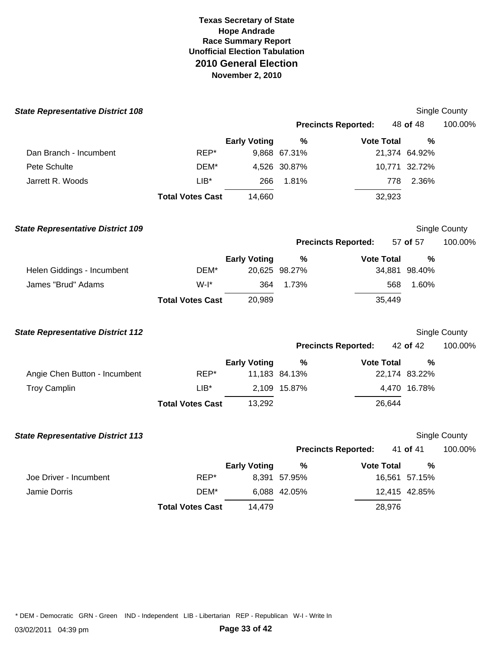| <b>State Representative District 108</b> |                         |                     |               |                            |               | Single County |
|------------------------------------------|-------------------------|---------------------|---------------|----------------------------|---------------|---------------|
|                                          |                         |                     |               | <b>Precincts Reported:</b> | 48 of 48      | 100.00%       |
|                                          |                         | <b>Early Voting</b> | $\frac{0}{0}$ | <b>Vote Total</b>          | %             |               |
| Dan Branch - Incumbent                   | REP*                    |                     | 9,868 67.31%  |                            | 21,374 64.92% |               |
| Pete Schulte                             | DEM*                    |                     | 4,526 30.87%  |                            | 10,771 32.72% |               |
| Jarrett R. Woods                         | $LIB*$                  | 266                 | 1.81%         | 778                        | 2.36%         |               |
|                                          | <b>Total Votes Cast</b> | 14,660              |               | 32,923                     |               |               |
| <b>State Representative District 109</b> |                         |                     |               |                            |               | Single County |
|                                          |                         |                     |               | <b>Precincts Reported:</b> | 57 of 57      | 100.00%       |
|                                          |                         | <b>Early Voting</b> | $\%$          | <b>Vote Total</b>          | %             |               |
| Helen Giddings - Incumbent               | DEM*                    |                     | 20,625 98.27% |                            | 34,881 98.40% |               |
| James "Brud" Adams                       | $W-I^*$                 | 364                 | 1.73%         | 568                        | 1.60%         |               |
|                                          | <b>Total Votes Cast</b> | 20,989              |               | 35,449                     |               |               |
| <b>State Representative District 112</b> |                         |                     |               |                            |               | Single County |
|                                          |                         |                     |               | <b>Precincts Reported:</b> | 42 of 42      | 100.00%       |
|                                          |                         | <b>Early Voting</b> | $\%$          | <b>Vote Total</b>          | %             |               |
| Angie Chen Button - Incumbent            | REP*                    |                     | 11,183 84.13% |                            | 22,174 83.22% |               |
| <b>Troy Camplin</b>                      | $LIB*$                  |                     | 2,109 15.87%  |                            | 4,470 16.78%  |               |
|                                          | <b>Total Votes Cast</b> | 13,292              |               | 26,644                     |               |               |
| <b>State Representative District 113</b> |                         |                     |               |                            |               | Single County |
|                                          |                         |                     |               | <b>Precincts Reported:</b> | 41 of 41      | 100.00%       |
|                                          |                         | <b>Early Voting</b> | $\%$          | <b>Vote Total</b>          | %             |               |
| Joe Driver - Incumbent                   | REP*                    |                     | 8,391 57.95%  |                            | 16,561 57.15% |               |
| Jamie Dorris                             | DEM*                    |                     | 6,088 42.05%  |                            | 12,415 42.85% |               |
|                                          | <b>Total Votes Cast</b> | 14,479              |               | 28,976                     |               |               |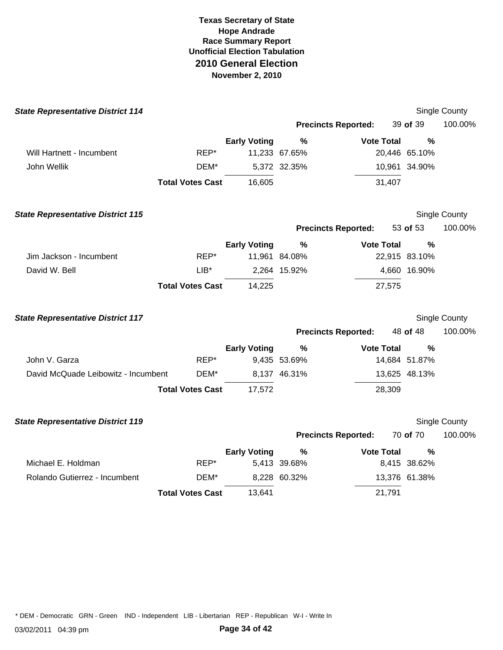| <b>State Representative District 114</b> |                         |                     |               |                            |               | Single County        |
|------------------------------------------|-------------------------|---------------------|---------------|----------------------------|---------------|----------------------|
|                                          |                         |                     |               | <b>Precincts Reported:</b> | 39 of 39      | 100.00%              |
|                                          |                         | <b>Early Voting</b> | $\frac{9}{6}$ | <b>Vote Total</b>          | %             |                      |
| Will Hartnett - Incumbent                | REP*                    |                     | 11,233 67.65% |                            | 20,446 65.10% |                      |
| John Wellik                              | DEM*                    |                     | 5,372 32.35%  |                            | 10,961 34.90% |                      |
|                                          | <b>Total Votes Cast</b> | 16,605              |               | 31,407                     |               |                      |
| <b>State Representative District 115</b> |                         |                     |               |                            |               | <b>Single County</b> |
|                                          |                         |                     |               | <b>Precincts Reported:</b> | 53 of 53      | 100.00%              |
|                                          |                         | <b>Early Voting</b> | $\frac{9}{6}$ | <b>Vote Total</b>          | $\frac{0}{0}$ |                      |
| Jim Jackson - Incumbent                  | REP*                    |                     | 11,961 84.08% |                            | 22,915 83.10% |                      |
| David W. Bell                            | $LIB*$                  |                     | 2,264 15.92%  |                            | 4,660 16.90%  |                      |
|                                          | <b>Total Votes Cast</b> | 14,225              |               | 27,575                     |               |                      |
| <b>State Representative District 117</b> |                         |                     |               |                            |               | Single County        |
|                                          |                         |                     |               | <b>Precincts Reported:</b> | 48 of 48      | 100.00%              |
|                                          |                         | <b>Early Voting</b> | $\frac{9}{6}$ | <b>Vote Total</b>          | %             |                      |
| John V. Garza                            | REP*                    |                     | 9,435 53.69%  |                            | 14,684 51.87% |                      |
| David McQuade Leibowitz - Incumbent      | DEM*                    |                     | 8,137 46.31%  |                            | 13,625 48.13% |                      |
|                                          | <b>Total Votes Cast</b> | 17,572              |               | 28,309                     |               |                      |
| <b>State Representative District 119</b> |                         |                     |               |                            |               | Single County        |
|                                          |                         |                     |               | <b>Precincts Reported:</b> | 70 of 70      | 100.00%              |
|                                          |                         | <b>Early Voting</b> | %             | <b>Vote Total</b>          | %             |                      |
| Michael E. Holdman                       | REP*                    |                     | 5,413 39.68%  |                            | 8,415 38.62%  |                      |
| Rolando Gutierrez - Incumbent            | DEM*                    |                     | 8,228 60.32%  |                            | 13,376 61.38% |                      |
|                                          | <b>Total Votes Cast</b> | 13,641              |               | 21,791                     |               |                      |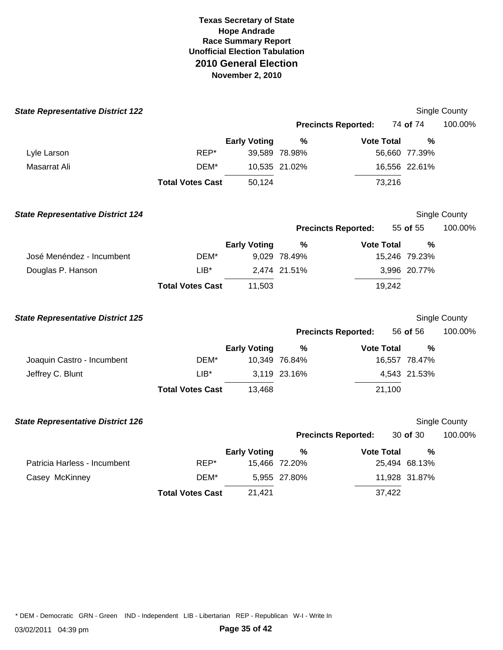| <b>State Representative District 122</b> |                         |                     |               |                            |               | Single County |
|------------------------------------------|-------------------------|---------------------|---------------|----------------------------|---------------|---------------|
|                                          |                         |                     |               | <b>Precincts Reported:</b> | 74 of 74      | 100.00%       |
|                                          |                         | <b>Early Voting</b> | $\%$          | <b>Vote Total</b>          | $\frac{0}{0}$ |               |
| Lyle Larson                              | REP*                    |                     | 39,589 78.98% |                            | 56,660 77.39% |               |
| Masarrat Ali                             | DEM*                    |                     | 10,535 21.02% |                            | 16,556 22.61% |               |
|                                          | <b>Total Votes Cast</b> | 50,124              |               | 73,216                     |               |               |
| <b>State Representative District 124</b> |                         |                     |               |                            |               | Single County |
|                                          |                         |                     |               | <b>Precincts Reported:</b> | 55 of 55      | 100.00%       |
|                                          |                         | <b>Early Voting</b> | %             | <b>Vote Total</b>          | $\frac{0}{0}$ |               |
| José Menéndez - Incumbent                | DEM*                    |                     | 9,029 78.49%  |                            | 15,246 79.23% |               |
| Douglas P. Hanson                        | $LIB*$                  |                     | 2,474 21.51%  |                            | 3,996 20.77%  |               |
|                                          | <b>Total Votes Cast</b> | 11,503              |               | 19,242                     |               |               |
| <b>State Representative District 125</b> |                         |                     |               |                            |               | Single County |
|                                          |                         |                     |               | <b>Precincts Reported:</b> | 56 of 56      | 100.00%       |
|                                          |                         | <b>Early Voting</b> | %             | <b>Vote Total</b>          | %             |               |
| Joaquin Castro - Incumbent               | DEM*                    |                     | 10,349 76.84% |                            | 16,557 78.47% |               |
| Jeffrey C. Blunt                         | $LIB*$                  |                     | 3,119 23.16%  |                            | 4,543 21.53%  |               |
|                                          | <b>Total Votes Cast</b> | 13,468              |               | 21,100                     |               |               |
| <b>State Representative District 126</b> |                         |                     |               |                            |               | Single County |
|                                          |                         |                     |               | <b>Precincts Reported:</b> | 30 of 30      | 100.00%       |
|                                          |                         | <b>Early Voting</b> | %             | <b>Vote Total</b>          | $\frac{0}{0}$ |               |
| Patricia Harless - Incumbent             | REP*                    |                     | 15,466 72.20% |                            | 25,494 68.13% |               |
| Casey McKinney                           | DEM*                    |                     | 5,955 27.80%  |                            | 11,928 31.87% |               |
|                                          | <b>Total Votes Cast</b> | 21,421              |               | 37,422                     |               |               |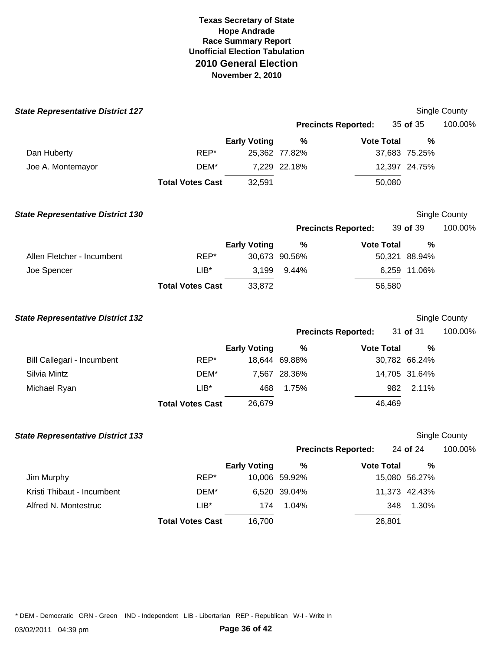| <b>State Representative District 127</b> |                         |                     |                       |                            |                       | Single County        |
|------------------------------------------|-------------------------|---------------------|-----------------------|----------------------------|-----------------------|----------------------|
|                                          |                         |                     |                       | <b>Precincts Reported:</b> | 35 of 35              | 100.00%              |
|                                          |                         | <b>Early Voting</b> | $\frac{0}{0}$         | <b>Vote Total</b>          | $\frac{0}{0}$         |                      |
| Dan Huberty                              | REP*                    |                     | 25,362 77.82%         |                            | 37,683 75.25%         |                      |
| Joe A. Montemayor                        | DEM*                    |                     | 7,229 22.18%          |                            | 12,397 24.75%         |                      |
|                                          | <b>Total Votes Cast</b> | 32,591              |                       | 50,080                     |                       |                      |
| <b>State Representative District 130</b> |                         |                     |                       |                            |                       | Single County        |
|                                          |                         |                     |                       | <b>Precincts Reported:</b> | 39 of 39              | 100.00%              |
|                                          |                         | <b>Early Voting</b> | %                     | <b>Vote Total</b>          | $\%$                  |                      |
| Allen Fletcher - Incumbent               | REP*                    |                     | 30,673 90.56%         |                            | 50,321 88.94%         |                      |
| Joe Spencer                              | $LIB*$                  | 3,199               | 9.44%                 |                            | 6,259 11.06%          |                      |
|                                          | <b>Total Votes Cast</b> | 33,872              |                       | 56,580                     |                       |                      |
| <b>State Representative District 132</b> |                         |                     |                       |                            |                       | Single County        |
|                                          |                         |                     |                       | <b>Precincts Reported:</b> | 31 of 31              | 100.00%              |
|                                          |                         | <b>Early Voting</b> | %                     | <b>Vote Total</b>          | %                     |                      |
| Bill Callegari - Incumbent               | REP*                    |                     | 18,644 69.88%         |                            | 30,782 66.24%         |                      |
| Silvia Mintz                             | DEM*                    |                     | 7,567 28.36%          |                            | 14,705 31.64%         |                      |
| Michael Ryan                             | $LIB*$                  | 468                 | 1.75%                 | 982                        | 2.11%                 |                      |
|                                          | <b>Total Votes Cast</b> | 26,679              |                       | 46,469                     |                       |                      |
| <b>State Representative District 133</b> |                         |                     |                       |                            |                       | <b>Single County</b> |
|                                          |                         |                     |                       | <b>Precincts Reported:</b> | 24 of 24              | 100.00%              |
| Jim Murphy                               | REP*                    | <b>Early Voting</b> | $\%$<br>10,006 59.92% | <b>Vote Total</b>          | $\%$<br>15,080 56.27% |                      |
| Kristi Thibaut - Incumbent               | DEM*                    |                     | 6,520 39.04%          |                            | 11,373 42.43%         |                      |
| Alfred N. Montestruc                     | $LIB*$                  | 174                 | 1.04%                 | 348                        | 1.30%                 |                      |
|                                          | <b>Total Votes Cast</b> | 16,700              |                       | 26,801                     |                       |                      |
|                                          |                         |                     |                       |                            |                       |                      |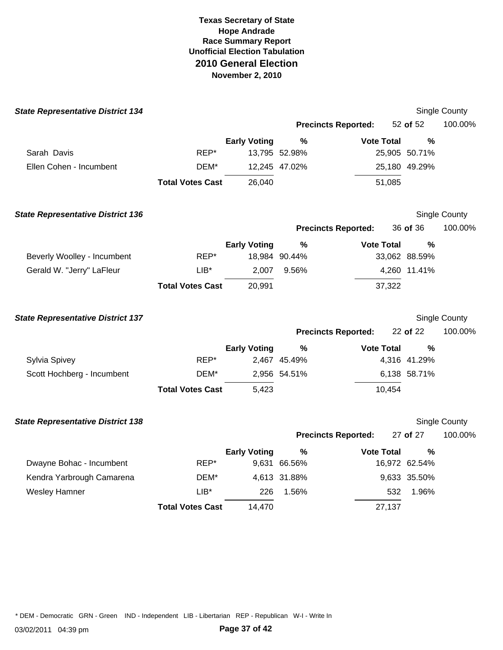| <b>State Representative District 134</b> |                         |                     |               |                            |               | Single County        |
|------------------------------------------|-------------------------|---------------------|---------------|----------------------------|---------------|----------------------|
|                                          |                         |                     |               | <b>Precincts Reported:</b> | 52 of 52      | 100.00%              |
|                                          |                         | <b>Early Voting</b> | %             | <b>Vote Total</b>          | $\frac{0}{0}$ |                      |
| Sarah Davis                              | REP*                    |                     | 13,795 52.98% |                            | 25,905 50.71% |                      |
| Ellen Cohen - Incumbent                  | DEM*                    |                     | 12,245 47.02% |                            | 25,180 49.29% |                      |
|                                          | <b>Total Votes Cast</b> | 26,040              |               | 51,085                     |               |                      |
| <b>State Representative District 136</b> |                         |                     |               |                            |               | <b>Single County</b> |
|                                          |                         |                     |               | <b>Precincts Reported:</b> | 36 of 36      | 100.00%              |
|                                          |                         | <b>Early Voting</b> | %             | <b>Vote Total</b>          | $\frac{0}{0}$ |                      |
| Beverly Woolley - Incumbent              | REP*                    |                     | 18,984 90.44% |                            | 33,062 88.59% |                      |
| Gerald W. "Jerry" LaFleur                | $LIB*$                  | 2,007               | 9.56%         |                            | 4,260 11.41%  |                      |
|                                          | <b>Total Votes Cast</b> | 20,991              |               | 37,322                     |               |                      |
| <b>State Representative District 137</b> |                         |                     |               |                            |               | Single County        |
|                                          |                         |                     |               | <b>Precincts Reported:</b> | 22 of 22      | 100.00%              |
|                                          |                         | <b>Early Voting</b> | $\%$          | <b>Vote Total</b>          | $\frac{0}{0}$ |                      |
| Sylvia Spivey                            | REP*                    |                     | 2,467 45.49%  |                            | 4,316 41.29%  |                      |
| Scott Hochberg - Incumbent               | DEM*                    |                     | 2,956 54.51%  |                            | 6,138 58.71%  |                      |
|                                          | <b>Total Votes Cast</b> | 5,423               |               | 10,454                     |               |                      |
| <b>State Representative District 138</b> |                         |                     |               |                            |               | <b>Single County</b> |
|                                          |                         |                     |               | <b>Precincts Reported:</b> | 27 of 27      | 100.00%              |
|                                          |                         | <b>Early Voting</b> | $\%$          | <b>Vote Total</b>          | $\frac{0}{0}$ |                      |
| Dwayne Bohac - Incumbent                 | REP*                    |                     | 9,631 66.56%  |                            | 16,972 62.54% |                      |
| Kendra Yarbrough Camarena                | DEM*                    |                     | 4,613 31.88%  |                            | 9,633 35.50%  |                      |
| <b>Wesley Hamner</b>                     | $LIB*$                  | 226                 | 1.56%         | 532                        | 1.96%         |                      |
|                                          | <b>Total Votes Cast</b> | 14,470              |               | 27,137                     |               |                      |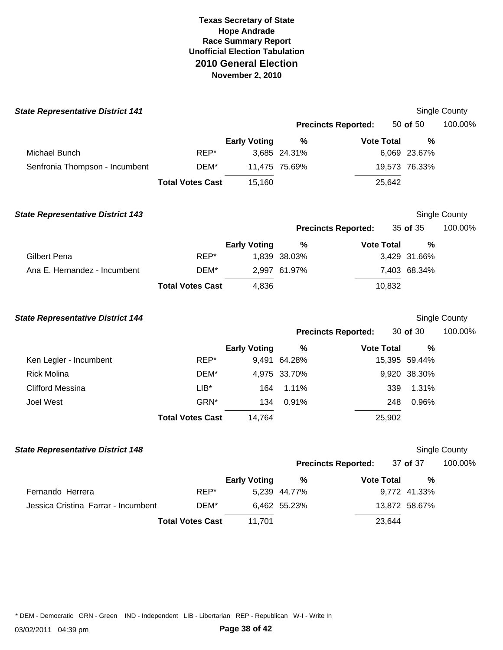| <b>State Representative District 141</b> |                         |                     |               |                            |               | <b>Single County</b> |
|------------------------------------------|-------------------------|---------------------|---------------|----------------------------|---------------|----------------------|
|                                          |                         |                     |               | <b>Precincts Reported:</b> | 50 of 50      | 100.00%              |
|                                          |                         | <b>Early Voting</b> | $\%$          | <b>Vote Total</b>          | $\frac{0}{0}$ |                      |
| Michael Bunch                            | REP*                    |                     | 3,685 24.31%  |                            | 6,069 23.67%  |                      |
| Senfronia Thompson - Incumbent           | DEM*                    |                     | 11,475 75.69% |                            | 19,573 76.33% |                      |
|                                          | <b>Total Votes Cast</b> | 15,160              |               | 25,642                     |               |                      |
| <b>State Representative District 143</b> |                         |                     |               |                            |               | Single County        |
|                                          |                         |                     |               | <b>Precincts Reported:</b> | 35 of 35      | 100.00%              |
|                                          |                         | <b>Early Voting</b> | %             | <b>Vote Total</b>          | $\%$          |                      |
| Gilbert Pena                             | REP*                    |                     | 1,839 38.03%  |                            | 3,429 31.66%  |                      |
| Ana E. Hernandez - Incumbent             | DEM*                    |                     | 2,997 61.97%  |                            | 7,403 68.34%  |                      |
|                                          | <b>Total Votes Cast</b> | 4,836               |               | 10,832                     |               |                      |
| <b>State Representative District 144</b> |                         |                     |               |                            |               | <b>Single County</b> |
|                                          |                         |                     |               | <b>Precincts Reported:</b> | 30 of 30      | 100.00%              |
|                                          |                         | <b>Early Voting</b> | %             | <b>Vote Total</b>          | $\%$          |                      |
| Ken Legler - Incumbent                   | REP*                    |                     | 9,491 64.28%  |                            | 15,395 59.44% |                      |
| <b>Rick Molina</b>                       | DEM*                    |                     | 4,975 33.70%  |                            | 9,920 38.30%  |                      |
| <b>Clifford Messina</b>                  | LIB*                    | 164                 | 1.11%         | 339                        | 1.31%         |                      |
| Joel West                                | GRN*                    | 134                 | 0.91%         | 248                        | 0.96%         |                      |
|                                          | <b>Total Votes Cast</b> | 14,764              |               | 25,902                     |               |                      |
| <b>State Representative District 148</b> |                         |                     |               |                            |               | Single County        |
|                                          |                         |                     |               | <b>Precincts Reported:</b> | 37 of 37      | 100.00%              |
|                                          |                         | <b>Early Voting</b> | $\%$          | <b>Vote Total</b>          | %             |                      |
| Fernando Herrera                         | REP*                    |                     | 5,239 44.77%  |                            | 9,772 41.33%  |                      |
| Jessica Cristina Farrar - Incumbent      | DEM*                    |                     | 6,462 55.23%  |                            | 13,872 58.67% |                      |
|                                          | <b>Total Votes Cast</b> | 11,701              |               | 23,644                     |               |                      |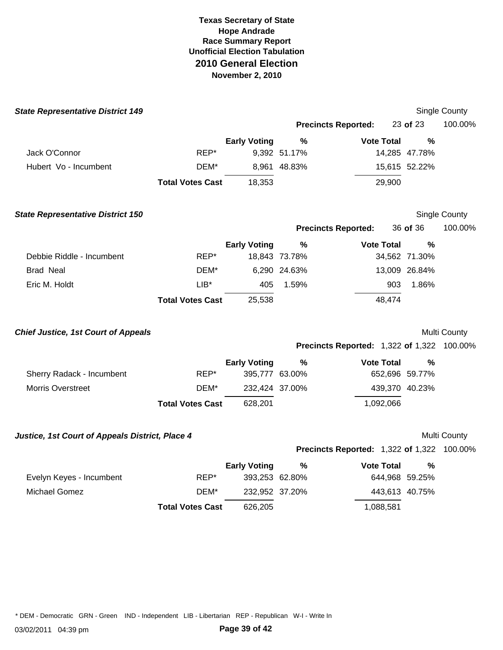| <b>State Representative District 149</b>        |                         |                     |               |                                                   |                | Single County       |
|-------------------------------------------------|-------------------------|---------------------|---------------|---------------------------------------------------|----------------|---------------------|
|                                                 |                         |                     |               | <b>Precincts Reported:</b>                        | 23 of 23       | 100.00%             |
|                                                 |                         | <b>Early Voting</b> | %             | <b>Vote Total</b>                                 | $\frac{0}{0}$  |                     |
| Jack O'Connor                                   | REP*                    |                     | 9,392 51.17%  |                                                   | 14,285 47.78%  |                     |
| Hubert Vo - Incumbent                           | DEM*                    |                     | 8,961 48.83%  |                                                   | 15,615 52.22%  |                     |
|                                                 | <b>Total Votes Cast</b> | 18,353              |               | 29,900                                            |                |                     |
| <b>State Representative District 150</b>        |                         |                     |               |                                                   |                | Single County       |
|                                                 |                         |                     |               | <b>Precincts Reported:</b>                        | 36 of 36       | 100.00%             |
|                                                 |                         | <b>Early Voting</b> | %             | <b>Vote Total</b>                                 | %              |                     |
| Debbie Riddle - Incumbent                       | REP*                    |                     | 18,843 73.78% |                                                   | 34,562 71.30%  |                     |
| <b>Brad Neal</b>                                | DEM*                    |                     | 6,290 24.63%  |                                                   | 13,009 26.84%  |                     |
| Eric M. Holdt                                   | $LIB*$                  | 405                 | 1.59%         | 903                                               | 1.86%          |                     |
|                                                 | <b>Total Votes Cast</b> | 25,538              |               | 48,474                                            |                |                     |
| <b>Chief Justice, 1st Court of Appeals</b>      |                         |                     |               |                                                   |                | Multi County        |
|                                                 |                         |                     |               | <b>Precincts Reported: 1,322 of 1,322 100.00%</b> |                |                     |
|                                                 |                         | <b>Early Voting</b> | %             | <b>Vote Total</b>                                 | %              |                     |
| Sherry Radack - Incumbent                       | REP*                    | 395,777 63.00%      |               |                                                   | 652,696 59.77% |                     |
| <b>Morris Overstreet</b>                        | DEM*                    | 232,424 37.00%      |               |                                                   | 439,370 40.23% |                     |
|                                                 | <b>Total Votes Cast</b> | 628,201             |               | 1,092,066                                         |                |                     |
| Justice, 1st Court of Appeals District, Place 4 |                         |                     |               |                                                   |                | <b>Multi County</b> |
|                                                 |                         |                     |               | <b>Precincts Reported: 1,322 of 1,322 100.00%</b> |                |                     |
|                                                 |                         | <b>Early Voting</b> | $\%$          | <b>Vote Total</b>                                 | %              |                     |
| Evelyn Keyes - Incumbent                        | REP*                    | 393,253 62.80%      |               |                                                   | 644,968 59.25% |                     |
| <b>Michael Gomez</b>                            | DEM*                    | 232,952 37.20%      |               |                                                   | 443,613 40.75% |                     |
|                                                 | <b>Total Votes Cast</b> | 626,205             |               | 1,088,581                                         |                |                     |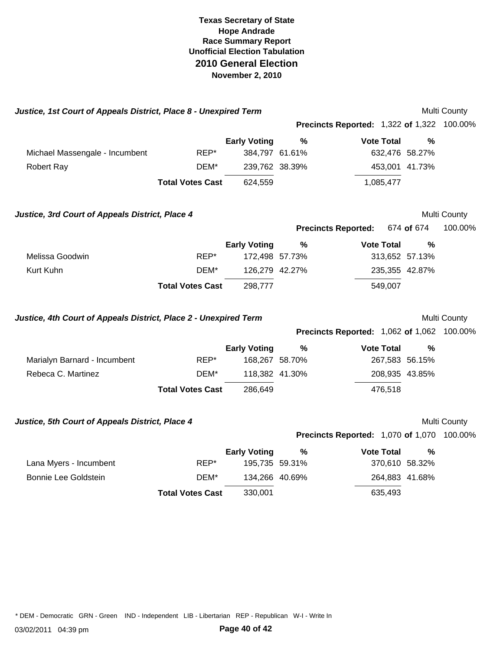| Justice, 1st Court of Appeals District, Place 8 - Unexpired Term                                                      |                         |                                       |               |                                                   |            | Multi County |
|-----------------------------------------------------------------------------------------------------------------------|-------------------------|---------------------------------------|---------------|---------------------------------------------------|------------|--------------|
|                                                                                                                       |                         |                                       |               | <b>Precincts Reported: 1,322 of 1,322 100.00%</b> |            |              |
|                                                                                                                       |                         | <b>Early Voting</b>                   | %             | <b>Vote Total</b>                                 | $\%$       |              |
| Michael Massengale - Incumbent                                                                                        | REP*                    | 384,797 61.61%                        |               | 632,476 58.27%                                    |            |              |
| <b>Robert Ray</b>                                                                                                     | DEM*                    | 239,762 38.39%                        |               | 453,001 41.73%                                    |            |              |
|                                                                                                                       | <b>Total Votes Cast</b> | 624,559                               |               | 1,085,477                                         |            |              |
| Justice, 3rd Court of Appeals District, Place 4                                                                       |                         |                                       |               |                                                   |            | Multi County |
|                                                                                                                       |                         |                                       |               | <b>Precincts Reported:</b>                        | 674 of 674 | 100.00%      |
|                                                                                                                       |                         | <b>Early Voting</b>                   | $\%$          | <b>Vote Total</b>                                 | %          |              |
| Melissa Goodwin                                                                                                       | REP*                    | 172,498 57.73%                        |               | 313,652 57.13%                                    |            |              |
| Kurt Kuhn                                                                                                             | DEM*                    | 126,279 42.27%                        |               | 235,355 42.87%                                    |            |              |
|                                                                                                                       | <b>Total Votes Cast</b> | 298,777                               |               | 549,007                                           |            |              |
| Justice, 4th Court of Appeals District, Place 2 - Unexpired Term<br><b>Precincts Reported: 1,062 of 1,062 100.00%</b> |                         |                                       |               |                                                   |            | Multi County |
|                                                                                                                       |                         |                                       |               |                                                   |            |              |
| Marialyn Barnard - Incumbent                                                                                          | REP*                    | <b>Early Voting</b><br>168,267 58.70% | $\frac{0}{0}$ | <b>Vote Total</b><br>267,583 56.15%               | %          |              |
| Rebeca C. Martinez                                                                                                    | DEM*                    | 118,382 41.30%                        |               | 208,935 43.85%                                    |            |              |
|                                                                                                                       | <b>Total Votes Cast</b> | 286,649                               |               | 476,518                                           |            |              |
|                                                                                                                       |                         |                                       |               |                                                   |            |              |
| Justice, 5th Court of Appeals District, Place 4                                                                       |                         |                                       |               |                                                   |            | Multi County |
|                                                                                                                       |                         |                                       |               | <b>Precincts Reported: 1,070 of 1,070 100.00%</b> |            |              |
|                                                                                                                       |                         | <b>Early Voting</b>                   | %             | <b>Vote Total</b>                                 | %          |              |
| Lana Myers - Incumbent                                                                                                | REP*                    | 195,735 59.31%                        |               | 370,610 58.32%                                    |            |              |
| <b>Bonnie Lee Goldstein</b>                                                                                           | DEM*                    | 134,266 40.69%                        |               | 264,883 41.68%                                    |            |              |
|                                                                                                                       | <b>Total Votes Cast</b> | 330,001                               |               | 635,493                                           |            |              |
|                                                                                                                       |                         |                                       |               |                                                   |            |              |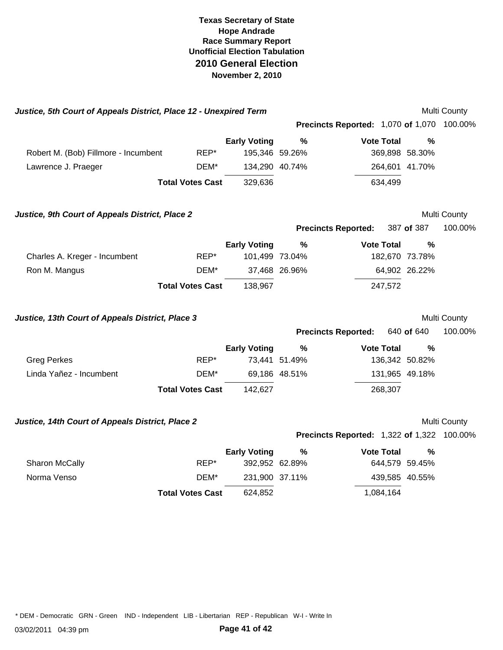| Justice, 5th Court of Appeals District, Place 12 - Unexpired Term |                         |                     |                |                                                   |                | Multi County |
|-------------------------------------------------------------------|-------------------------|---------------------|----------------|---------------------------------------------------|----------------|--------------|
|                                                                   |                         |                     |                | <b>Precincts Reported: 1,070 of 1,070 100.00%</b> |                |              |
|                                                                   |                         | <b>Early Voting</b> | %              | <b>Vote Total</b>                                 | $\frac{0}{0}$  |              |
| Robert M. (Bob) Fillmore - Incumbent                              | REP*                    |                     | 195,346 59.26% |                                                   | 369,898 58.30% |              |
| Lawrence J. Praeger                                               | DEM*                    |                     | 134,290 40.74% |                                                   | 264,601 41.70% |              |
|                                                                   | <b>Total Votes Cast</b> | 329,636             |                | 634,499                                           |                |              |
| Justice, 9th Court of Appeals District, Place 2                   |                         |                     |                |                                                   |                | Multi County |
|                                                                   |                         |                     |                | <b>Precincts Reported:</b>                        | 387 of 387     | 100.00%      |
|                                                                   |                         | <b>Early Voting</b> | %              | <b>Vote Total</b>                                 | %              |              |
| Charles A. Kreger - Incumbent                                     | REP*                    |                     | 101,499 73.04% |                                                   | 182,670 73.78% |              |
| Ron M. Mangus                                                     | DEM*                    |                     | 37,468 26.96%  |                                                   | 64,902 26.22%  |              |
|                                                                   | <b>Total Votes Cast</b> | 138,967             |                | 247,572                                           |                |              |
| Justice, 13th Court of Appeals District, Place 3                  |                         |                     |                |                                                   |                | Multi County |
|                                                                   |                         |                     |                | <b>Precincts Reported:</b>                        | 640 of 640     | 100.00%      |
|                                                                   |                         | <b>Early Voting</b> | %              | <b>Vote Total</b>                                 | %              |              |
| <b>Greg Perkes</b>                                                | REP*                    |                     | 73,441 51.49%  |                                                   | 136,342 50.82% |              |
| Linda Yañez - Incumbent                                           | DEM*                    |                     | 69,186 48.51%  |                                                   | 131,965 49.18% |              |
|                                                                   | <b>Total Votes Cast</b> | 142,627             |                | 268,307                                           |                |              |
| Justice, 14th Court of Appeals District, Place 2                  |                         |                     |                |                                                   |                | Multi County |
|                                                                   |                         |                     |                | <b>Precincts Reported: 1,322 of 1,322 100.00%</b> |                |              |
|                                                                   |                         | <b>Early Voting</b> | %              | <b>Vote Total</b>                                 | $\frac{0}{0}$  |              |
| Sharon McCally                                                    | REP*                    |                     | 392,952 62.89% |                                                   | 644,579 59.45% |              |
| Norma Venso                                                       | DEM*                    | 231,900 37.11%      |                |                                                   | 439,585 40.55% |              |
|                                                                   | <b>Total Votes Cast</b> | 624,852             |                | 1,084,164                                         |                |              |
|                                                                   |                         |                     |                |                                                   |                |              |